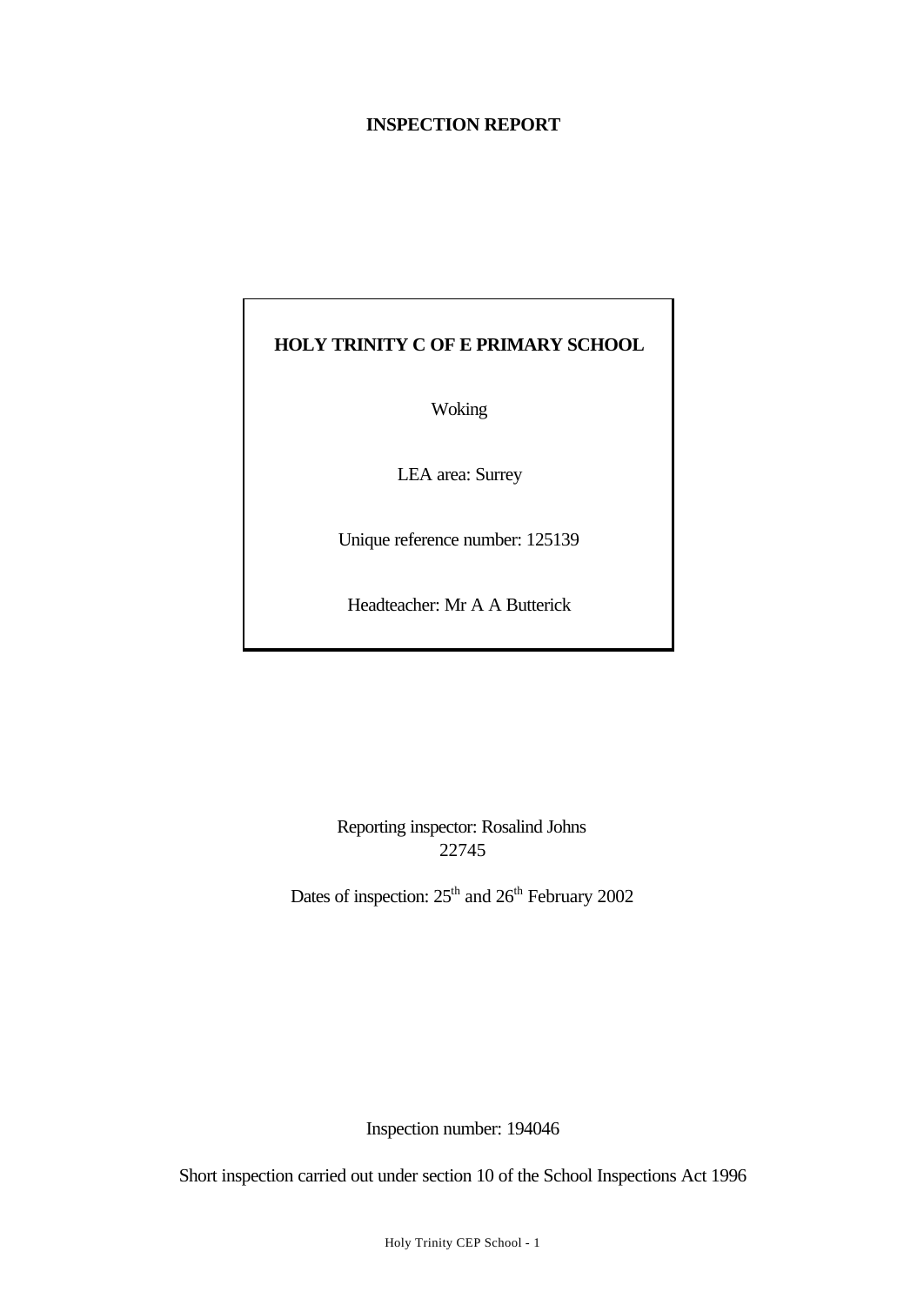#### **INSPECTION REPORT**

# **HOLY TRINITY C OF E PRIMARY SCHOOL**

Woking

LEA area: Surrey

Unique reference number: 125139

Headteacher: Mr A A Butterick

Reporting inspector: Rosalind Johns 22745

Dates of inspection:  $25<sup>th</sup>$  and  $26<sup>th</sup>$  February 2002

Inspection number: 194046

Short inspection carried out under section 10 of the School Inspections Act 1996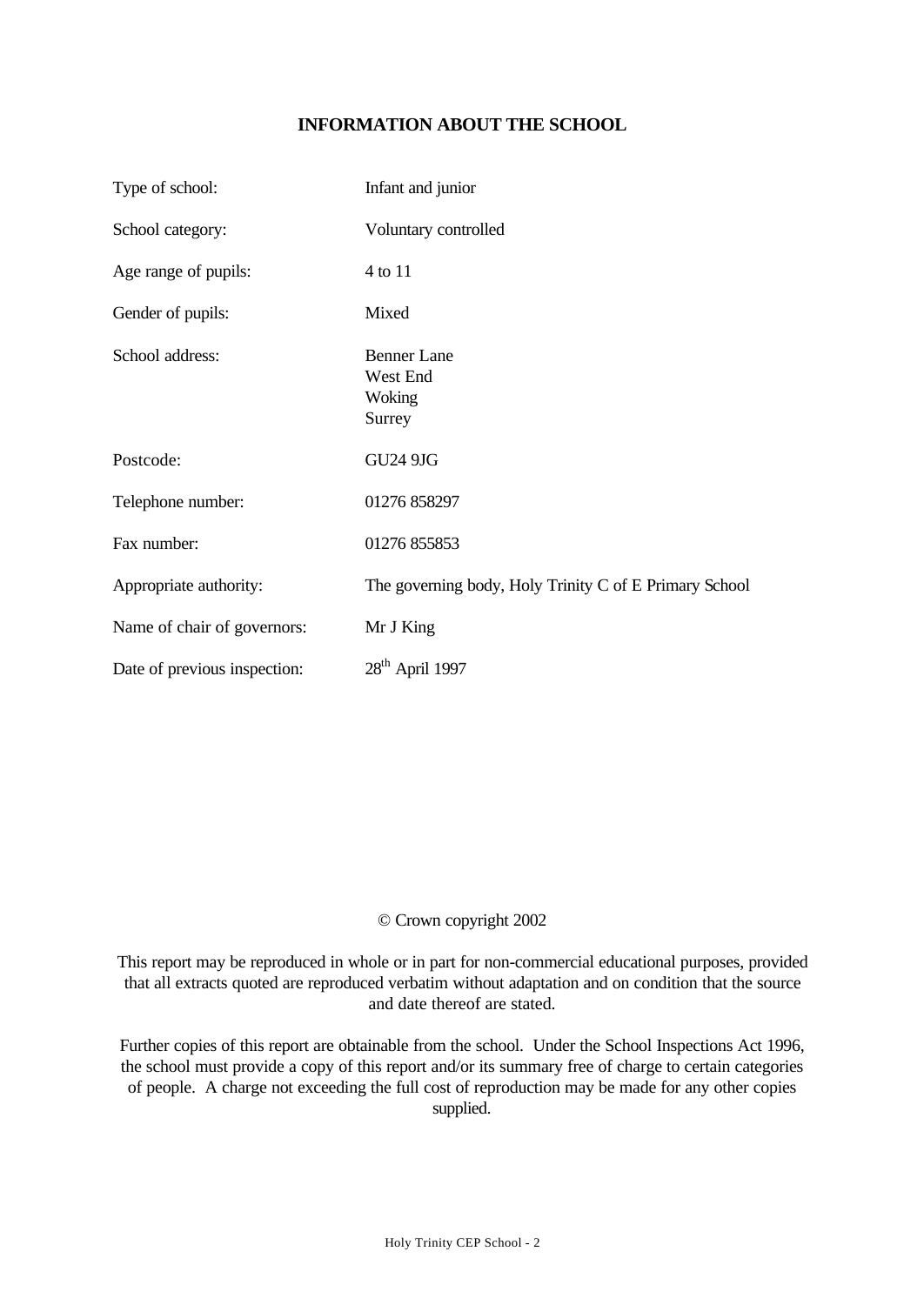## **INFORMATION ABOUT THE SCHOOL**

| Type of school:              | Infant and junior                                      |
|------------------------------|--------------------------------------------------------|
| School category:             | Voluntary controlled                                   |
| Age range of pupils:         | 4 to 11                                                |
| Gender of pupils:            | Mixed                                                  |
| School address:              | <b>Benner Lane</b><br>West End<br>Woking<br>Surrey     |
| Postcode:                    | <b>GU24 9JG</b>                                        |
| Telephone number:            | 01276 858297                                           |
| Fax number:                  | 01276 855853                                           |
| Appropriate authority:       | The governing body, Holy Trinity C of E Primary School |
| Name of chair of governors:  | Mr J King                                              |
| Date of previous inspection: | $28th$ April 1997                                      |

#### © Crown copyright 2002

This report may be reproduced in whole or in part for non-commercial educational purposes, provided that all extracts quoted are reproduced verbatim without adaptation and on condition that the source and date thereof are stated.

Further copies of this report are obtainable from the school. Under the School Inspections Act 1996, the school must provide a copy of this report and/or its summary free of charge to certain categories of people. A charge not exceeding the full cost of reproduction may be made for any other copies supplied.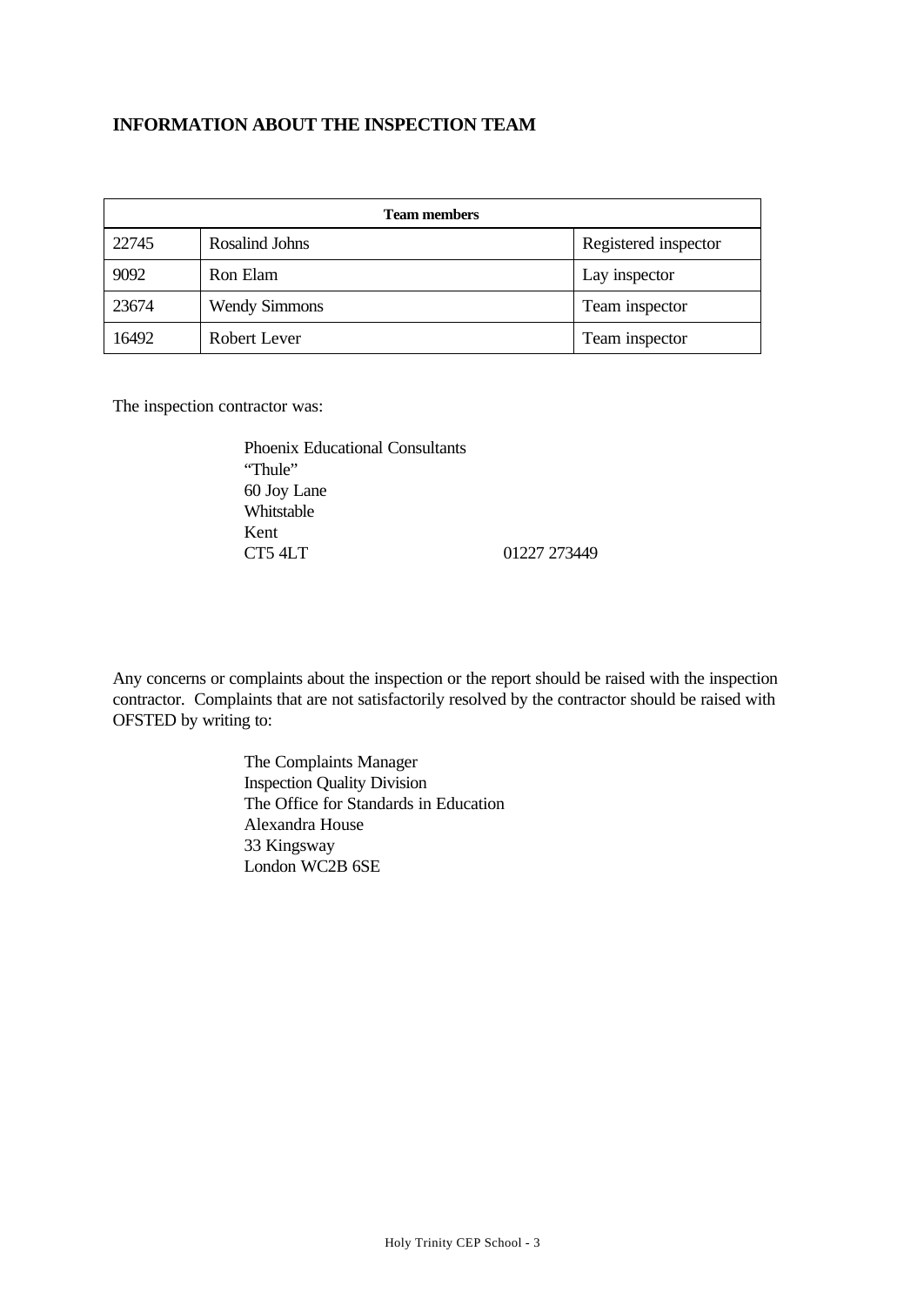#### **INFORMATION ABOUT THE INSPECTION TEAM**

| <b>Team members</b> |                      |                      |  |  |
|---------------------|----------------------|----------------------|--|--|
| 22745               | Rosalind Johns       | Registered inspector |  |  |
| 9092                | Ron Elam             | Lay inspector        |  |  |
| 23674               | <b>Wendy Simmons</b> | Team inspector       |  |  |
| 16492               | Robert Lever         | Team inspector       |  |  |

The inspection contractor was:

Phoenix Educational Consultants "Thule" 60 Joy Lane Whitstable Kent CT5 4LT 01227 273449

Any concerns or complaints about the inspection or the report should be raised with the inspection contractor. Complaints that are not satisfactorily resolved by the contractor should be raised with OFSTED by writing to:

> The Complaints Manager Inspection Quality Division The Office for Standards in Education Alexandra House 33 Kingsway London WC2B 6SE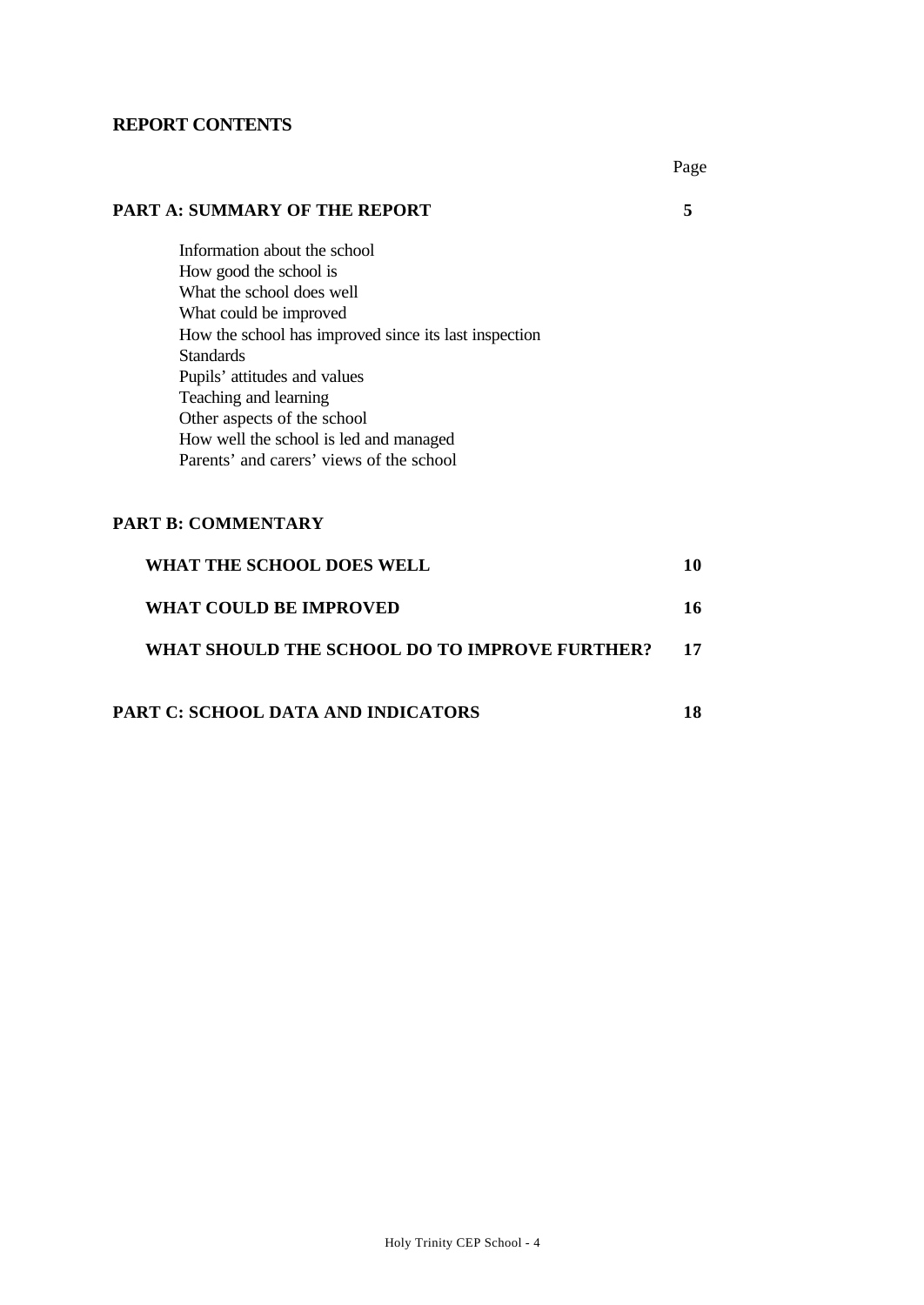#### **REPORT CONTENTS**

Page

#### **PART A: SUMMARY OF THE REPORT 5**

Information about the school How good the school is What the school does well What could be improved How the school has improved since its last inspection Standards Pupils' attitudes and values Teaching and learning Other aspects of the school How well the school is led and managed Parents' and carers' views of the school

#### **PART B: COMMENTARY**

| WHAT THE SCHOOL DOES WELL                     |    |
|-----------------------------------------------|----|
| WHAT COULD BE IMPROVED                        | 16 |
| WHAT SHOULD THE SCHOOL DO TO IMPROVE FURTHER? | 17 |
|                                               |    |

# **PART C: SCHOOL DATA AND INDICATORS 18**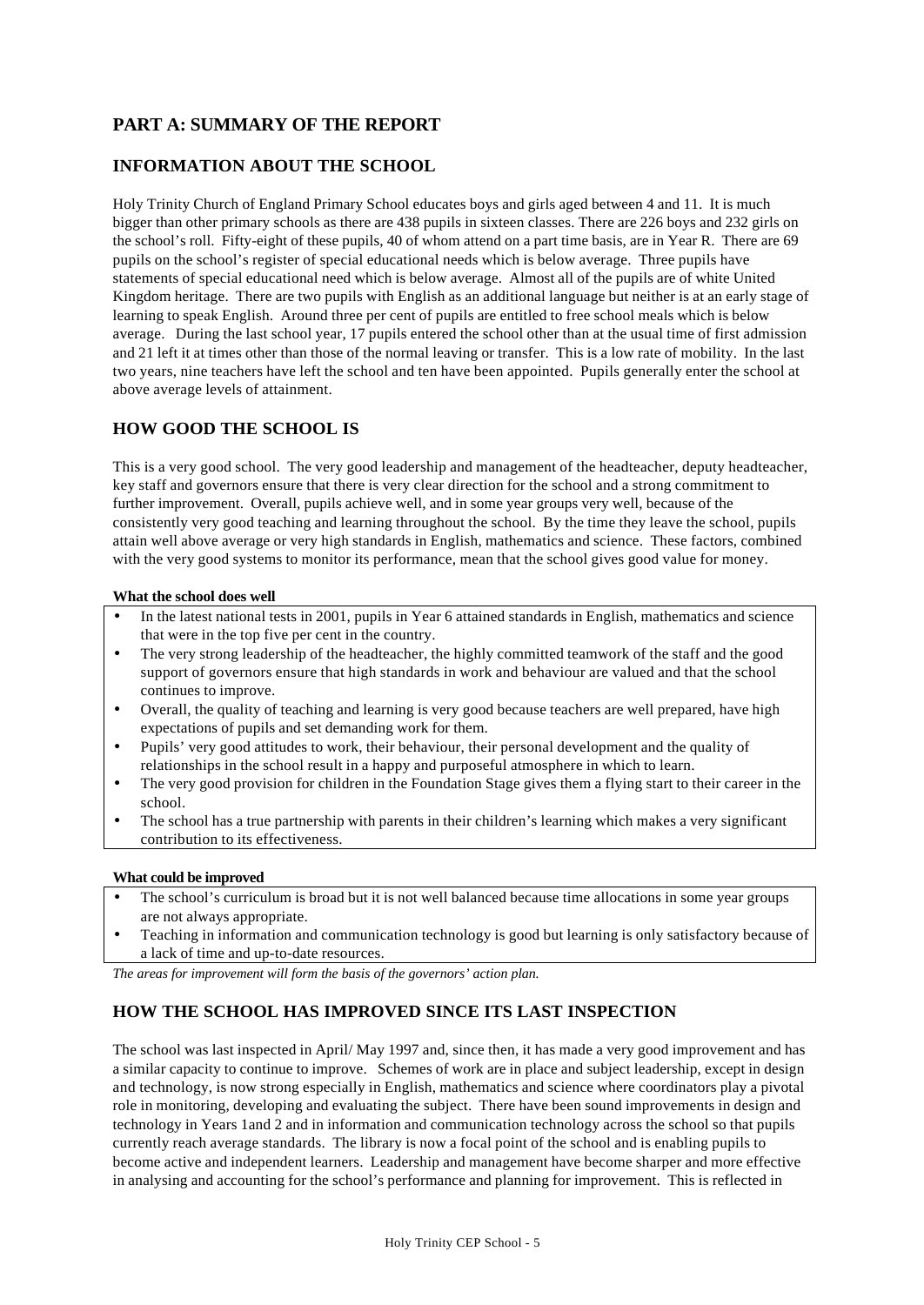## **PART A: SUMMARY OF THE REPORT**

#### **INFORMATION ABOUT THE SCHOOL**

Holy Trinity Church of England Primary School educates boys and girls aged between 4 and 11. It is much bigger than other primary schools as there are 438 pupils in sixteen classes. There are 226 boys and 232 girls on the school's roll. Fifty-eight of these pupils, 40 of whom attend on a part time basis, are in Year R. There are 69 pupils on the school's register of special educational needs which is below average. Three pupils have statements of special educational need which is below average. Almost all of the pupils are of white United Kingdom heritage. There are two pupils with English as an additional language but neither is at an early stage of learning to speak English. Around three per cent of pupils are entitled to free school meals which is below average. During the last school year, 17 pupils entered the school other than at the usual time of first admission and 21 left it at times other than those of the normal leaving or transfer. This is a low rate of mobility. In the last two years, nine teachers have left the school and ten have been appointed. Pupils generally enter the school at above average levels of attainment.

#### **HOW GOOD THE SCHOOL IS**

This is a very good school. The very good leadership and management of the headteacher, deputy headteacher, key staff and governors ensure that there is very clear direction for the school and a strong commitment to further improvement. Overall, pupils achieve well, and in some year groups very well, because of the consistently very good teaching and learning throughout the school. By the time they leave the school, pupils attain well above average or very high standards in English, mathematics and science. These factors, combined with the very good systems to monitor its performance, mean that the school gives good value for money.

#### **What the school does well**

- In the latest national tests in 2001, pupils in Year 6 attained standards in English, mathematics and science that were in the top five per cent in the country.
- The very strong leadership of the headteacher, the highly committed teamwork of the staff and the good support of governors ensure that high standards in work and behaviour are valued and that the school continues to improve.
- Overall, the quality of teaching and learning is very good because teachers are well prepared, have high expectations of pupils and set demanding work for them.
- Pupils' very good attitudes to work, their behaviour, their personal development and the quality of relationships in the school result in a happy and purposeful atmosphere in which to learn.
- The very good provision for children in the Foundation Stage gives them a flying start to their career in the school.
- The school has a true partnership with parents in their children's learning which makes a very significant contribution to its effectiveness.

#### **What could be improved**

- The school's curriculum is broad but it is not well balanced because time allocations in some year groups are not always appropriate.
- Teaching in information and communication technology is good but learning is only satisfactory because of a lack of time and up-to-date resources.

*The areas for improvement will form the basis of the governors' action plan.*

#### **HOW THE SCHOOL HAS IMPROVED SINCE ITS LAST INSPECTION**

The school was last inspected in April/ May 1997 and, since then, it has made a very good improvement and has a similar capacity to continue to improve. Schemes of work are in place and subject leadership, except in design and technology, is now strong especially in English, mathematics and science where coordinators play a pivotal role in monitoring, developing and evaluating the subject. There have been sound improvements in design and technology in Years 1and 2 and in information and communication technology across the school so that pupils currently reach average standards. The library is now a focal point of the school and is enabling pupils to become active and independent learners. Leadership and management have become sharper and more effective in analysing and accounting for the school's performance and planning for improvement. This is reflected in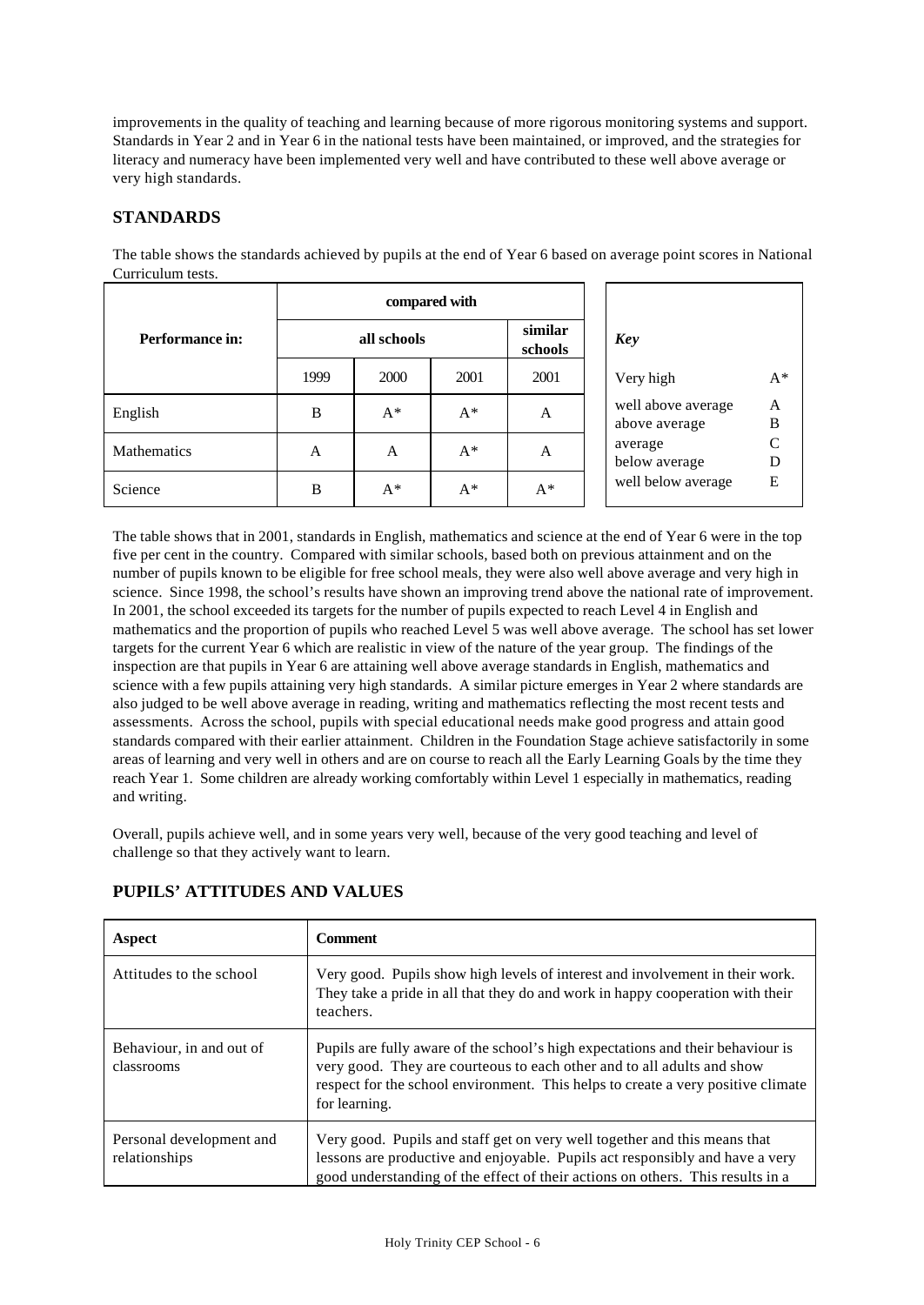improvements in the quality of teaching and learning because of more rigorous monitoring systems and support. Standards in Year 2 and in Year 6 in the national tests have been maintained, or improved, and the strategies for literacy and numeracy have been implemented very well and have contributed to these well above average or very high standards.

#### **STANDARDS**

|                        | compared with |       |       |                    |                                     |                   |  |
|------------------------|---------------|-------|-------|--------------------|-------------------------------------|-------------------|--|
| <b>Performance in:</b> | all schools   |       |       | similar<br>schools | <b>Key</b>                          |                   |  |
|                        | 1999          | 2000  | 2001  | 2001               | Very high                           | $A^*$             |  |
| English                | B             | $A^*$ | $A^*$ | A                  | well above average<br>above average | A<br>$\, {\bf B}$ |  |
| Mathematics            | A             | A     | $A^*$ | A                  | average<br>below average            | $\mathsf{C}$<br>D |  |
| Science                | B             | $A^*$ | $A^*$ | $A^*$              | well below average                  | E                 |  |

The table shows the standards achieved by pupils at the end of Year 6 based on average point scores in National Curriculum tests.

The table shows that in 2001, standards in English, mathematics and science at the end of Year 6 were in the top five per cent in the country. Compared with similar schools, based both on previous attainment and on the number of pupils known to be eligible for free school meals, they were also well above average and very high in science. Since 1998, the school's results have shown an improving trend above the national rate of improvement. In 2001, the school exceeded its targets for the number of pupils expected to reach Level 4 in English and mathematics and the proportion of pupils who reached Level 5 was well above average. The school has set lower targets for the current Year 6 which are realistic in view of the nature of the year group. The findings of the inspection are that pupils in Year 6 are attaining well above average standards in English, mathematics and science with a few pupils attaining very high standards. A similar picture emerges in Year 2 where standards are also judged to be well above average in reading, writing and mathematics reflecting the most recent tests and assessments. Across the school, pupils with special educational needs make good progress and attain good standards compared with their earlier attainment. Children in the Foundation Stage achieve satisfactorily in some areas of learning and very well in others and are on course to reach all the Early Learning Goals by the time they reach Year 1. Some children are already working comfortably within Level 1 especially in mathematics, reading and writing.

Overall, pupils achieve well, and in some years very well, because of the very good teaching and level of challenge so that they actively want to learn.

| Aspect                                    | <b>Comment</b>                                                                                                                                                                                                                                                 |
|-------------------------------------------|----------------------------------------------------------------------------------------------------------------------------------------------------------------------------------------------------------------------------------------------------------------|
| Attitudes to the school                   | Very good. Pupils show high levels of interest and involvement in their work.<br>They take a pride in all that they do and work in happy cooperation with their<br>teachers.                                                                                   |
| Behaviour, in and out of<br>classrooms    | Pupils are fully aware of the school's high expectations and their behaviour is<br>very good. They are courteous to each other and to all adults and show<br>respect for the school environment. This helps to create a very positive climate<br>for learning. |
| Personal development and<br>relationships | Very good. Pupils and staff get on very well together and this means that<br>lessons are productive and enjoyable. Pupils act responsibly and have a very<br>good understanding of the effect of their actions on others. This results in a                    |

#### **PUPILS' ATTITUDES AND VALUES**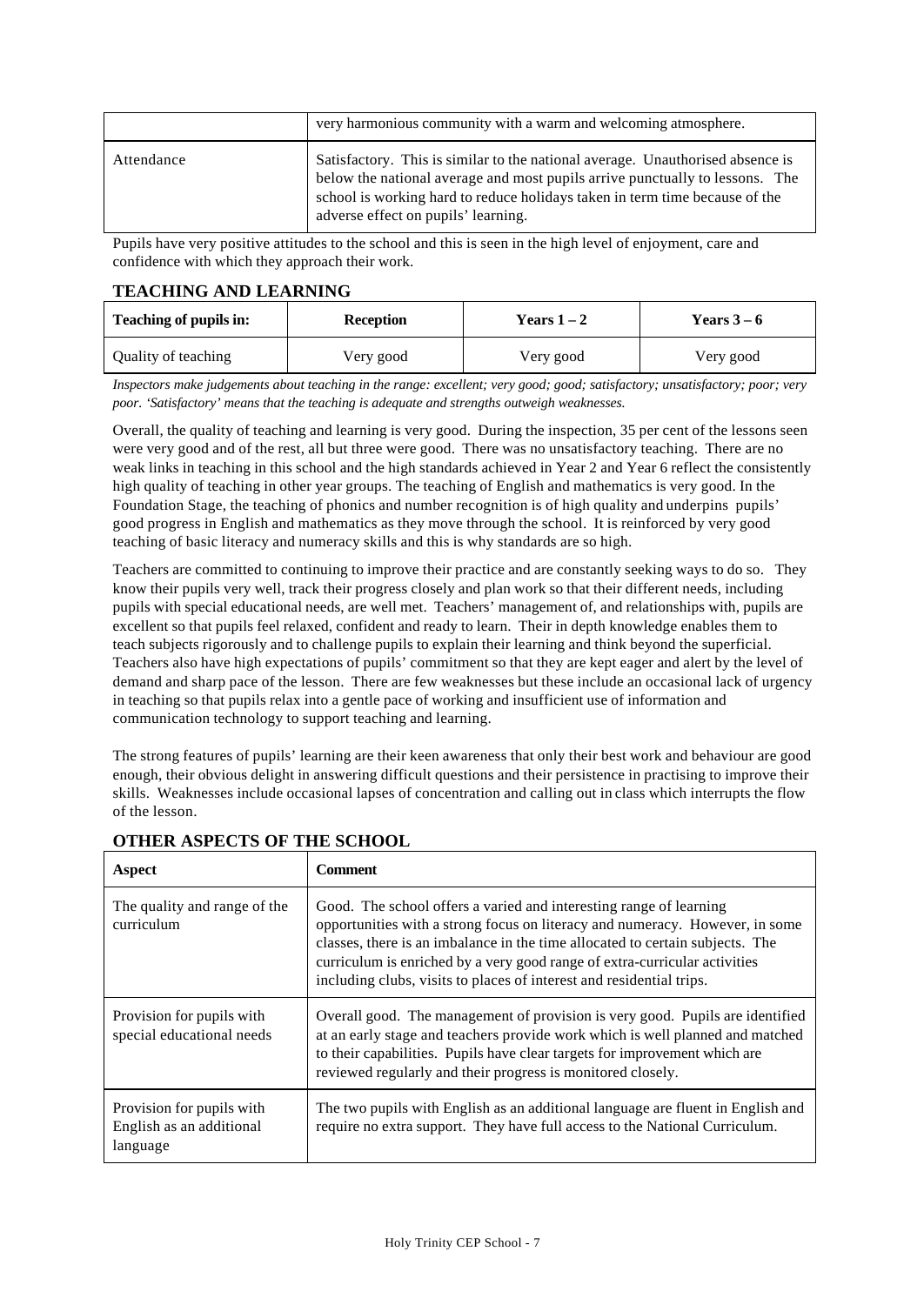|            | very harmonious community with a warm and welcoming atmosphere.                                                                                                                                                                                                                      |
|------------|--------------------------------------------------------------------------------------------------------------------------------------------------------------------------------------------------------------------------------------------------------------------------------------|
| Attendance | Satisfactory. This is similar to the national average. Unauthorised absence is<br>below the national average and most pupils arrive punctually to lessons. The<br>school is working hard to reduce holidays taken in term time because of the<br>adverse effect on pupils' learning. |

Pupils have very positive attitudes to the school and this is seen in the high level of enjoyment, care and confidence with which they approach their work.

#### **TEACHING AND LEARNING**

| Teaching of pupils in:<br><b>Reception</b> |           | Years $1-2$ | Years $3-6$ |  |
|--------------------------------------------|-----------|-------------|-------------|--|
| Quality of teaching                        | Very good | Very good   | Very good   |  |

*Inspectors make judgements about teaching in the range: excellent; very good; good; satisfactory; unsatisfactory; poor; very poor. 'Satisfactory' means that the teaching is adequate and strengths outweigh weaknesses.*

Overall, the quality of teaching and learning is very good. During the inspection, 35 per cent of the lessons seen were very good and of the rest, all but three were good. There was no unsatisfactory teaching. There are no weak links in teaching in this school and the high standards achieved in Year 2 and Year 6 reflect the consistently high quality of teaching in other year groups. The teaching of English and mathematics is very good. In the Foundation Stage, the teaching of phonics and number recognition is of high quality and underpins pupils' good progress in English and mathematics as they move through the school. It is reinforced by very good teaching of basic literacy and numeracy skills and this is why standards are so high.

Teachers are committed to continuing to improve their practice and are constantly seeking ways to do so. They know their pupils very well, track their progress closely and plan work so that their different needs, including pupils with special educational needs, are well met. Teachers' management of, and relationships with, pupils are excellent so that pupils feel relaxed, confident and ready to learn. Their in depth knowledge enables them to teach subjects rigorously and to challenge pupils to explain their learning and think beyond the superficial. Teachers also have high expectations of pupils' commitment so that they are kept eager and alert by the level of demand and sharp pace of the lesson. There are few weaknesses but these include an occasional lack of urgency in teaching so that pupils relax into a gentle pace of working and insufficient use of information and communication technology to support teaching and learning.

The strong features of pupils' learning are their keen awareness that only their best work and behaviour are good enough, their obvious delight in answering difficult questions and their persistence in practising to improve their skills. Weaknesses include occasional lapses of concentration and calling out in class which interrupts the flow of the lesson.

| Aspect                                                            | <b>Comment</b>                                                                                                                                                                                                                                                                                                                                                                            |
|-------------------------------------------------------------------|-------------------------------------------------------------------------------------------------------------------------------------------------------------------------------------------------------------------------------------------------------------------------------------------------------------------------------------------------------------------------------------------|
| The quality and range of the<br>curriculum                        | Good. The school offers a varied and interesting range of learning<br>opportunities with a strong focus on literacy and numeracy. However, in some<br>classes, there is an imbalance in the time allocated to certain subjects. The<br>curriculum is enriched by a very good range of extra-curricular activities<br>including clubs, visits to places of interest and residential trips. |
| Provision for pupils with<br>special educational needs            | Overall good. The management of provision is very good. Pupils are identified<br>at an early stage and teachers provide work which is well planned and matched<br>to their capabilities. Pupils have clear targets for improvement which are<br>reviewed regularly and their progress is monitored closely.                                                                               |
| Provision for pupils with<br>English as an additional<br>language | The two pupils with English as an additional language are fluent in English and<br>require no extra support. They have full access to the National Curriculum.                                                                                                                                                                                                                            |

#### **OTHER ASPECTS OF THE SCHOOL**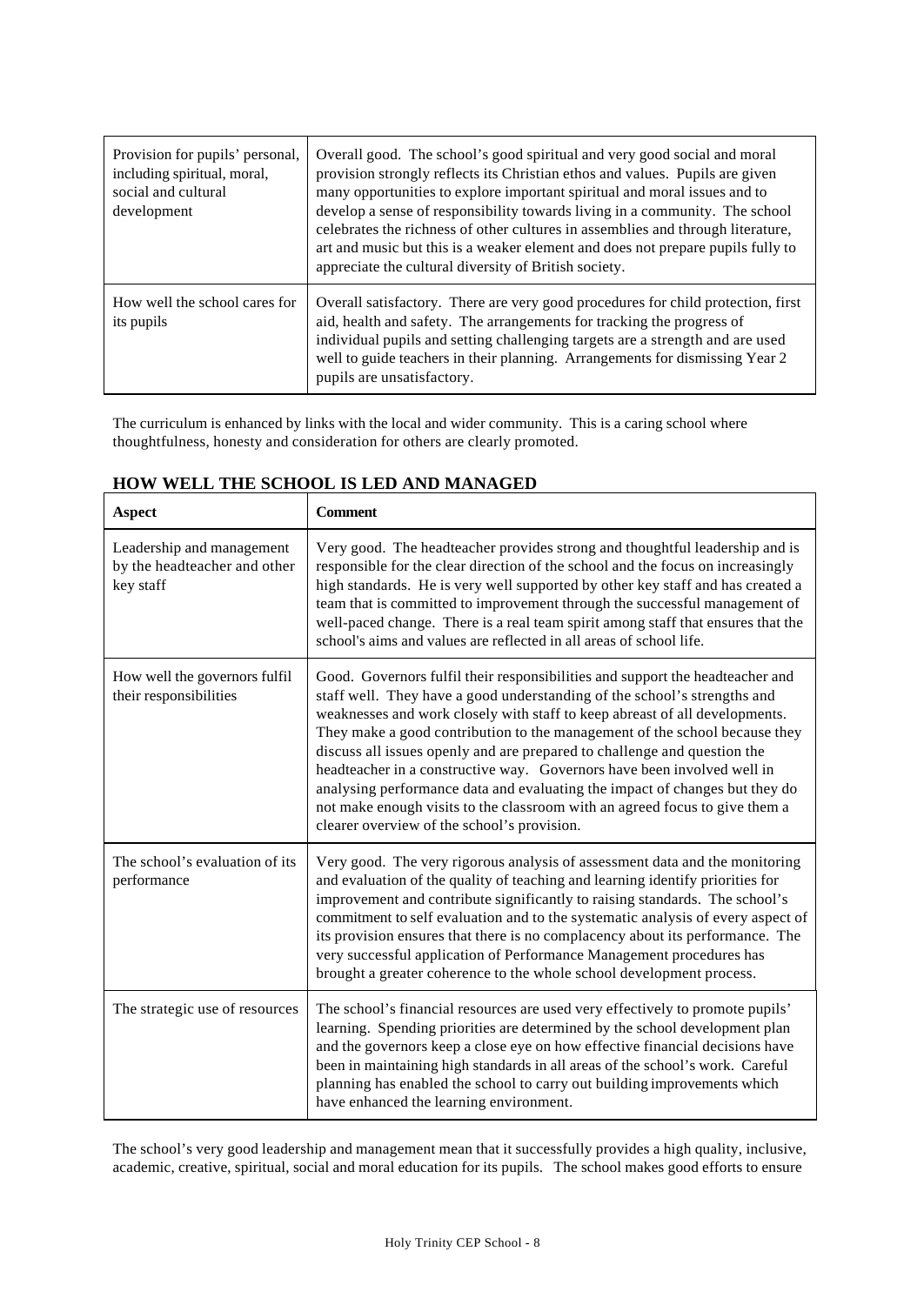| Provision for pupils' personal,<br>including spiritual, moral,<br>social and cultural<br>development | Overall good. The school's good spiritual and very good social and moral<br>provision strongly reflects its Christian ethos and values. Pupils are given<br>many opportunities to explore important spiritual and moral issues and to<br>develop a sense of responsibility towards living in a community. The school<br>celebrates the richness of other cultures in assemblies and through literature,<br>art and music but this is a weaker element and does not prepare pupils fully to<br>appreciate the cultural diversity of British society. |
|------------------------------------------------------------------------------------------------------|-----------------------------------------------------------------------------------------------------------------------------------------------------------------------------------------------------------------------------------------------------------------------------------------------------------------------------------------------------------------------------------------------------------------------------------------------------------------------------------------------------------------------------------------------------|
| How well the school cares for<br>its pupils                                                          | Overall satisfactory. There are very good procedures for child protection, first<br>aid, health and safety. The arrangements for tracking the progress of<br>individual pupils and setting challenging targets are a strength and are used<br>well to guide teachers in their planning. Arrangements for dismissing Year 2<br>pupils are unsatisfactory.                                                                                                                                                                                            |

The curriculum is enhanced by links with the local and wider community. This is a caring school where thoughtfulness, honesty and consideration for others are clearly promoted.

| <b>Aspect</b>                                                          | <b>Comment</b>                                                                                                                                                                                                                                                                                                                                                                                                                                                                                                                                                                                                                                                                             |  |  |
|------------------------------------------------------------------------|--------------------------------------------------------------------------------------------------------------------------------------------------------------------------------------------------------------------------------------------------------------------------------------------------------------------------------------------------------------------------------------------------------------------------------------------------------------------------------------------------------------------------------------------------------------------------------------------------------------------------------------------------------------------------------------------|--|--|
| Leadership and management<br>by the headteacher and other<br>key staff | Very good. The headteacher provides strong and thoughtful leadership and is<br>responsible for the clear direction of the school and the focus on increasingly<br>high standards. He is very well supported by other key staff and has created a<br>team that is committed to improvement through the successful management of<br>well-paced change. There is a real team spirit among staff that ensures that the<br>school's aims and values are reflected in all areas of school life.                                                                                                                                                                                                  |  |  |
| How well the governors fulfil<br>their responsibilities                | Good. Governors fulfil their responsibilities and support the headteacher and<br>staff well. They have a good understanding of the school's strengths and<br>weaknesses and work closely with staff to keep abreast of all developments.<br>They make a good contribution to the management of the school because they<br>discuss all issues openly and are prepared to challenge and question the<br>headteacher in a constructive way. Governors have been involved well in<br>analysing performance data and evaluating the impact of changes but they do<br>not make enough visits to the classroom with an agreed focus to give them a<br>clearer overview of the school's provision. |  |  |
| The school's evaluation of its<br>performance                          | Very good. The very rigorous analysis of assessment data and the monitoring<br>and evaluation of the quality of teaching and learning identify priorities for<br>improvement and contribute significantly to raising standards. The school's<br>commitment to self evaluation and to the systematic analysis of every aspect of<br>its provision ensures that there is no complacency about its performance. The<br>very successful application of Performance Management procedures has<br>brought a greater coherence to the whole school development process.                                                                                                                           |  |  |
| The strategic use of resources                                         | The school's financial resources are used very effectively to promote pupils'<br>learning. Spending priorities are determined by the school development plan<br>and the governors keep a close eye on how effective financial decisions have<br>been in maintaining high standards in all areas of the school's work. Careful<br>planning has enabled the school to carry out building improvements which<br>have enhanced the learning environment.                                                                                                                                                                                                                                       |  |  |

# **HOW WELL THE SCHOOL IS LED AND MANAGED**

The school's very good leadership and management mean that it successfully provides a high quality, inclusive, academic, creative, spiritual, social and moral education for its pupils. The school makes good efforts to ensure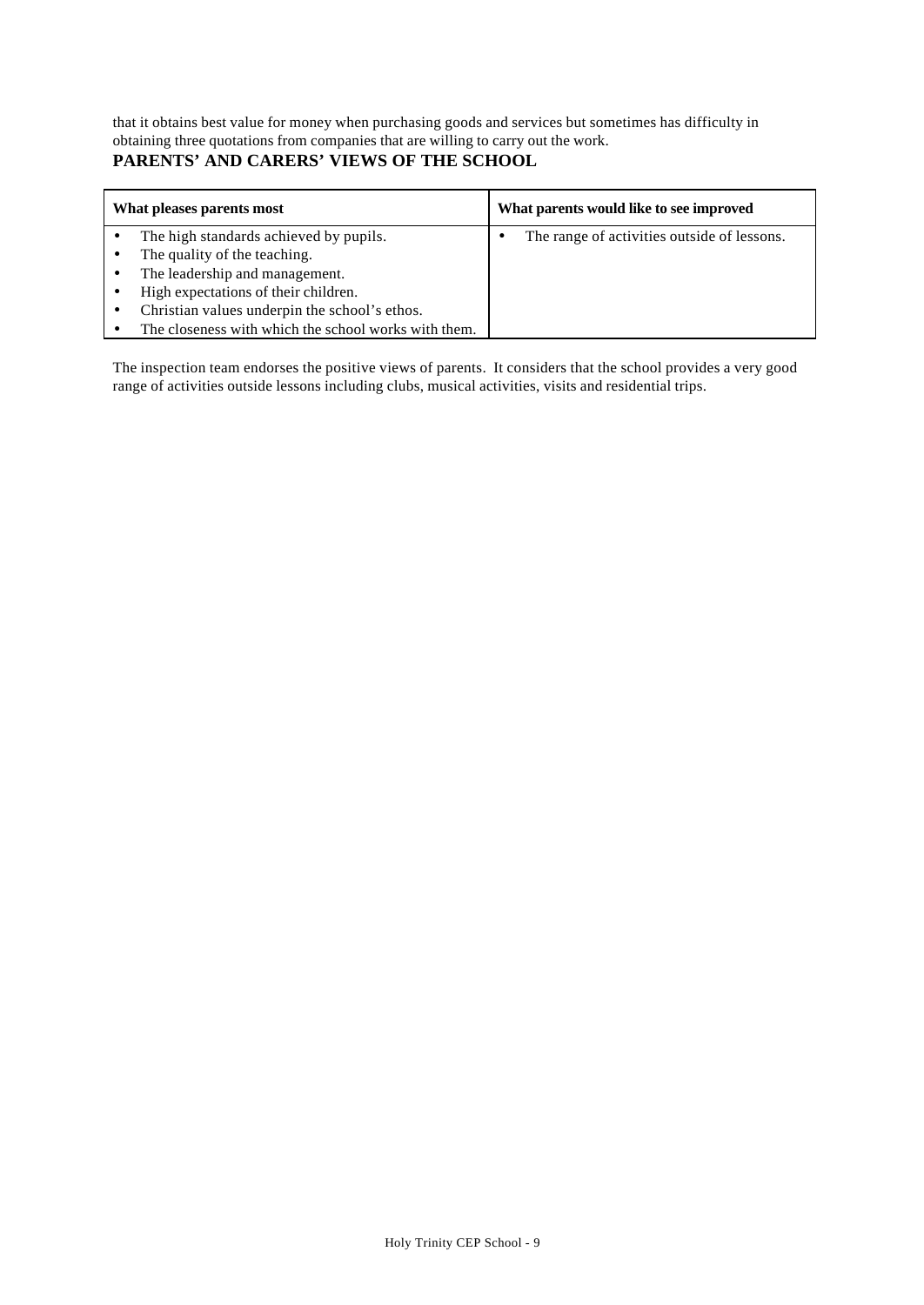that it obtains best value for money when purchasing goods and services but sometimes has difficulty in obtaining three quotations from companies that are willing to carry out the work.

## **PARENTS' AND CARERS' VIEWS OF THE SCHOOL**

| What pleases parents most                            | What parents would like to see improved     |
|------------------------------------------------------|---------------------------------------------|
| The high standards achieved by pupils.               | The range of activities outside of lessons. |
| The quality of the teaching.                         |                                             |
| The leadership and management.                       |                                             |
| High expectations of their children.                 |                                             |
| Christian values underpin the school's ethos.        |                                             |
| The closeness with which the school works with them. |                                             |

The inspection team endorses the positive views of parents. It considers that the school provides a very good range of activities outside lessons including clubs, musical activities, visits and residential trips.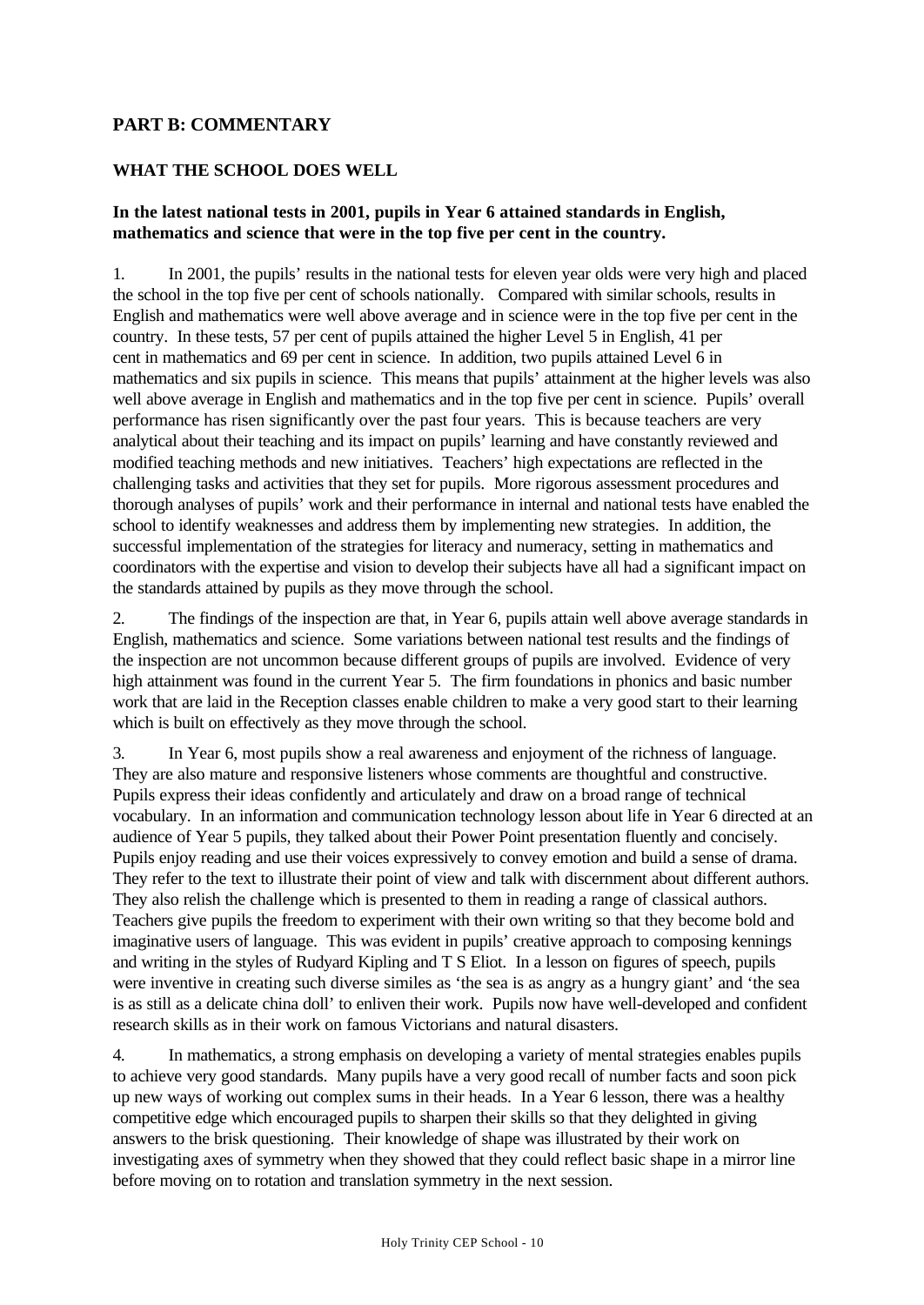### **PART B: COMMENTARY**

#### **WHAT THE SCHOOL DOES WELL**

#### **In the latest national tests in 2001, pupils in Year 6 attained standards in English, mathematics and science that were in the top five per cent in the country.**

1. In 2001, the pupils' results in the national tests for eleven year olds were very high and placed the school in the top five per cent of schools nationally. Compared with similar schools, results in English and mathematics were well above average and in science were in the top five per cent in the country. In these tests, 57 per cent of pupils attained the higher Level 5 in English, 41 per cent in mathematics and 69 per cent in science. In addition, two pupils attained Level 6 in mathematics and six pupils in science. This means that pupils' attainment at the higher levels was also well above average in English and mathematics and in the top five per cent in science. Pupils' overall performance has risen significantly over the past four years. This is because teachers are very analytical about their teaching and its impact on pupils' learning and have constantly reviewed and modified teaching methods and new initiatives. Teachers' high expectations are reflected in the challenging tasks and activities that they set for pupils. More rigorous assessment procedures and thorough analyses of pupils' work and their performance in internal and national tests have enabled the school to identify weaknesses and address them by implementing new strategies. In addition, the successful implementation of the strategies for literacy and numeracy, setting in mathematics and coordinators with the expertise and vision to develop their subjects have all had a significant impact on the standards attained by pupils as they move through the school.

2. The findings of the inspection are that, in Year 6, pupils attain well above average standards in English, mathematics and science. Some variations between national test results and the findings of the inspection are not uncommon because different groups of pupils are involved. Evidence of very high attainment was found in the current Year 5. The firm foundations in phonics and basic number work that are laid in the Reception classes enable children to make a very good start to their learning which is built on effectively as they move through the school.

3. In Year 6, most pupils show a real awareness and enjoyment of the richness of language. They are also mature and responsive listeners whose comments are thoughtful and constructive. Pupils express their ideas confidently and articulately and draw on a broad range of technical vocabulary. In an information and communication technology lesson about life in Year 6 directed at an audience of Year 5 pupils, they talked about their Power Point presentation fluently and concisely. Pupils enjoy reading and use their voices expressively to convey emotion and build a sense of drama. They refer to the text to illustrate their point of view and talk with discernment about different authors. They also relish the challenge which is presented to them in reading a range of classical authors. Teachers give pupils the freedom to experiment with their own writing so that they become bold and imaginative users of language. This was evident in pupils' creative approach to composing kennings and writing in the styles of Rudyard Kipling and T S Eliot. In a lesson on figures of speech, pupils were inventive in creating such diverse similes as 'the sea is as angry as a hungry giant' and 'the sea is as still as a delicate china doll' to enliven their work. Pupils now have well-developed and confident research skills as in their work on famous Victorians and natural disasters.

4. In mathematics, a strong emphasis on developing a variety of mental strategies enables pupils to achieve very good standards. Many pupils have a very good recall of number facts and soon pick up new ways of working out complex sums in their heads. In a Year 6 lesson, there was a healthy competitive edge which encouraged pupils to sharpen their skills so that they delighted in giving answers to the brisk questioning. Their knowledge of shape was illustrated by their work on investigating axes of symmetry when they showed that they could reflect basic shape in a mirror line before moving on to rotation and translation symmetry in the next session.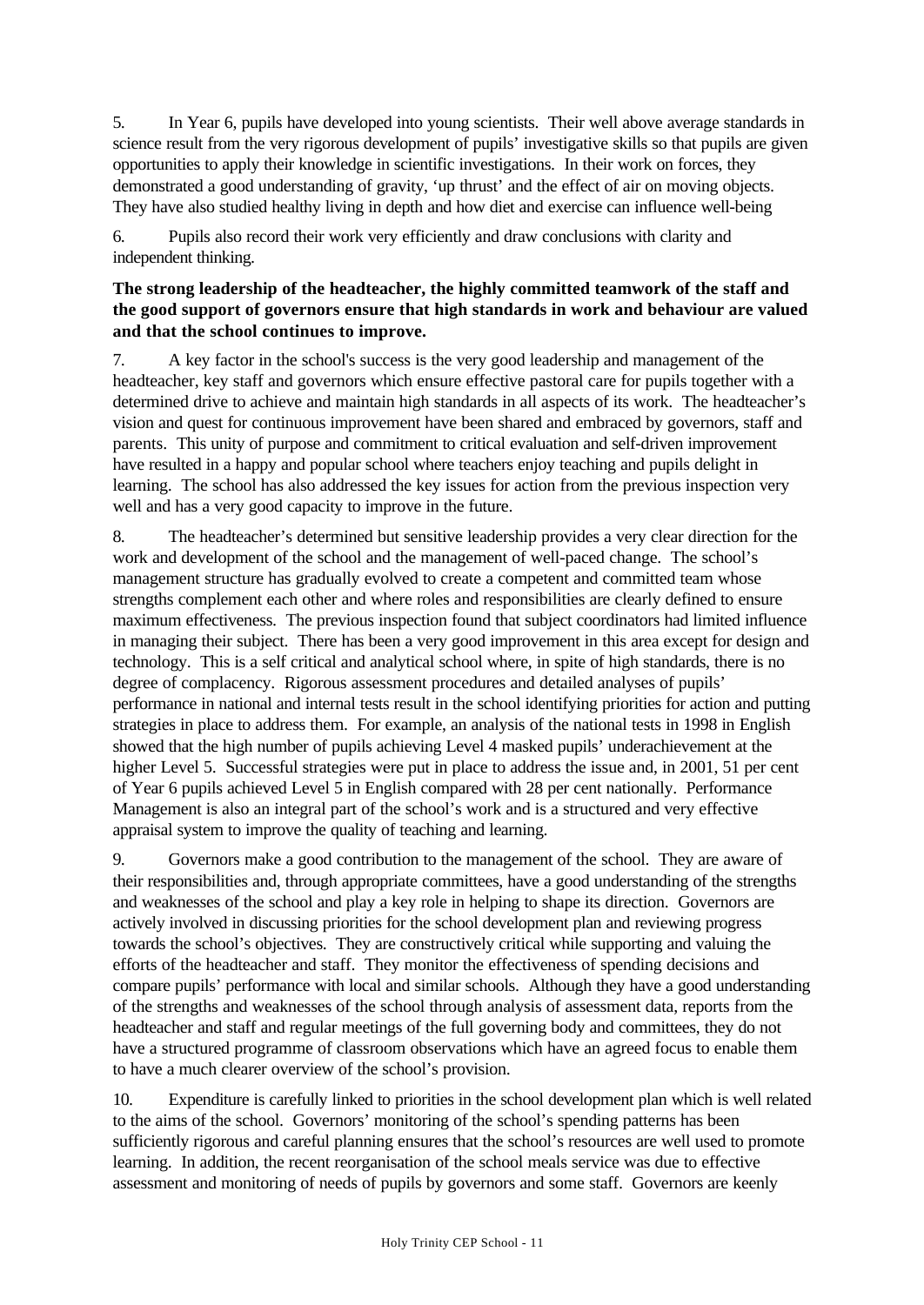5. In Year 6, pupils have developed into young scientists. Their well above average standards in science result from the very rigorous development of pupils' investigative skills so that pupils are given opportunities to apply their knowledge in scientific investigations. In their work on forces, they demonstrated a good understanding of gravity, 'up thrust' and the effect of air on moving objects. They have also studied healthy living in depth and how diet and exercise can influence well-being

6. Pupils also record their work very efficiently and draw conclusions with clarity and independent thinking.

#### **The strong leadership of the headteacher, the highly committed teamwork of the staff and the good support of governors ensure that high standards in work and behaviour are valued and that the school continues to improve.**

7. A key factor in the school's success is the very good leadership and management of the headteacher, key staff and governors which ensure effective pastoral care for pupils together with a determined drive to achieve and maintain high standards in all aspects of its work. The headteacher's vision and quest for continuous improvement have been shared and embraced by governors, staff and parents. This unity of purpose and commitment to critical evaluation and self-driven improvement have resulted in a happy and popular school where teachers enjoy teaching and pupils delight in learning. The school has also addressed the key issues for action from the previous inspection very well and has a very good capacity to improve in the future.

8. The headteacher's determined but sensitive leadership provides a very clear direction for the work and development of the school and the management of well-paced change. The school's management structure has gradually evolved to create a competent and committed team whose strengths complement each other and where roles and responsibilities are clearly defined to ensure maximum effectiveness. The previous inspection found that subject coordinators had limited influence in managing their subject. There has been a very good improvement in this area except for design and technology. This is a self critical and analytical school where, in spite of high standards, there is no degree of complacency. Rigorous assessment procedures and detailed analyses of pupils' performance in national and internal tests result in the school identifying priorities for action and putting strategies in place to address them. For example, an analysis of the national tests in 1998 in English showed that the high number of pupils achieving Level 4 masked pupils' underachievement at the higher Level 5. Successful strategies were put in place to address the issue and, in 2001, 51 per cent of Year 6 pupils achieved Level 5 in English compared with 28 per cent nationally. Performance Management is also an integral part of the school's work and is a structured and very effective appraisal system to improve the quality of teaching and learning.

9. Governors make a good contribution to the management of the school. They are aware of their responsibilities and, through appropriate committees, have a good understanding of the strengths and weaknesses of the school and play a key role in helping to shape its direction. Governors are actively involved in discussing priorities for the school development plan and reviewing progress towards the school's objectives. They are constructively critical while supporting and valuing the efforts of the headteacher and staff. They monitor the effectiveness of spending decisions and compare pupils' performance with local and similar schools. Although they have a good understanding of the strengths and weaknesses of the school through analysis of assessment data, reports from the headteacher and staff and regular meetings of the full governing body and committees, they do not have a structured programme of classroom observations which have an agreed focus to enable them to have a much clearer overview of the school's provision.

10. Expenditure is carefully linked to priorities in the school development plan which is well related to the aims of the school. Governors' monitoring of the school's spending patterns has been sufficiently rigorous and careful planning ensures that the school's resources are well used to promote learning. In addition, the recent reorganisation of the school meals service was due to effective assessment and monitoring of needs of pupils by governors and some staff. Governors are keenly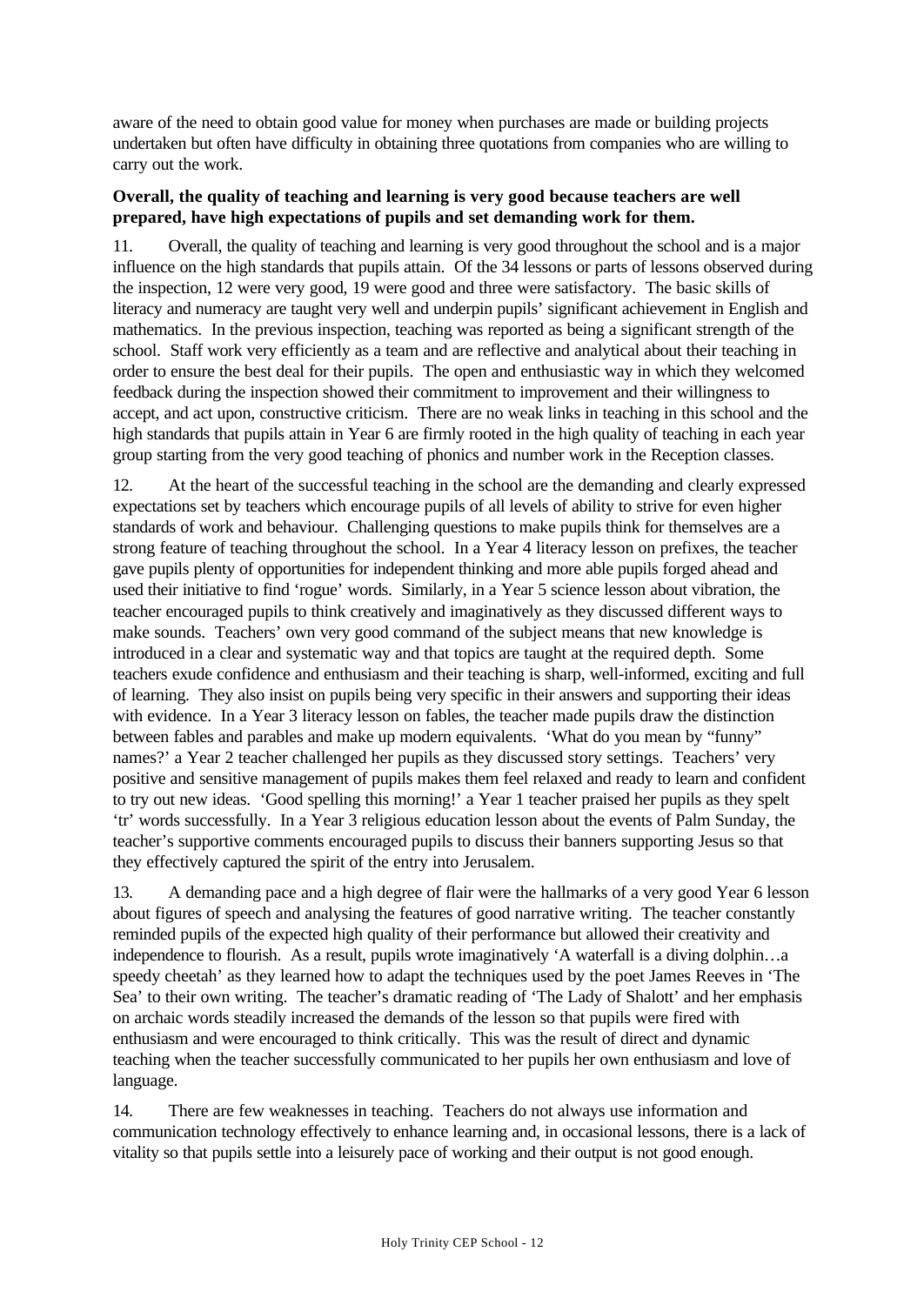aware of the need to obtain good value for money when purchases are made or building projects undertaken but often have difficulty in obtaining three quotations from companies who are willing to carry out the work.

#### **Overall, the quality of teaching and learning is very good because teachers are well prepared, have high expectations of pupils and set demanding work for them.**

11. Overall, the quality of teaching and learning is very good throughout the school and is a major influence on the high standards that pupils attain. Of the 34 lessons or parts of lessons observed during the inspection, 12 were very good, 19 were good and three were satisfactory. The basic skills of literacy and numeracy are taught very well and underpin pupils' significant achievement in English and mathematics. In the previous inspection, teaching was reported as being a significant strength of the school. Staff work very efficiently as a team and are reflective and analytical about their teaching in order to ensure the best deal for their pupils. The open and enthusiastic way in which they welcomed feedback during the inspection showed their commitment to improvement and their willingness to accept, and act upon, constructive criticism. There are no weak links in teaching in this school and the high standards that pupils attain in Year 6 are firmly rooted in the high quality of teaching in each year group starting from the very good teaching of phonics and number work in the Reception classes.

12. At the heart of the successful teaching in the school are the demanding and clearly expressed expectations set by teachers which encourage pupils of all levels of ability to strive for even higher standards of work and behaviour. Challenging questions to make pupils think for themselves are a strong feature of teaching throughout the school. In a Year 4 literacy lesson on prefixes, the teacher gave pupils plenty of opportunities for independent thinking and more able pupils forged ahead and used their initiative to find 'rogue' words. Similarly, in a Year 5 science lesson about vibration, the teacher encouraged pupils to think creatively and imaginatively as they discussed different ways to make sounds. Teachers' own very good command of the subject means that new knowledge is introduced in a clear and systematic way and that topics are taught at the required depth. Some teachers exude confidence and enthusiasm and their teaching is sharp, well-informed, exciting and full of learning. They also insist on pupils being very specific in their answers and supporting their ideas with evidence. In a Year 3 literacy lesson on fables, the teacher made pupils draw the distinction between fables and parables and make up modern equivalents. 'What do you mean by "funny" names?' a Year 2 teacher challenged her pupils as they discussed story settings. Teachers' very positive and sensitive management of pupils makes them feel relaxed and ready to learn and confident to try out new ideas. 'Good spelling this morning!' a Year 1 teacher praised her pupils as they spelt 'tr' words successfully. In a Year 3 religious education lesson about the events of Palm Sunday, the teacher's supportive comments encouraged pupils to discuss their banners supporting Jesus so that they effectively captured the spirit of the entry into Jerusalem.

13. A demanding pace and a high degree of flair were the hallmarks of a very good Year 6 lesson about figures of speech and analysing the features of good narrative writing. The teacher constantly reminded pupils of the expected high quality of their performance but allowed their creativity and independence to flourish. As a result, pupils wrote imaginatively 'A waterfall is a diving dolphin…a speedy cheetah' as they learned how to adapt the techniques used by the poet James Reeves in 'The Sea' to their own writing. The teacher's dramatic reading of 'The Lady of Shalott' and her emphasis on archaic words steadily increased the demands of the lesson so that pupils were fired with enthusiasm and were encouraged to think critically. This was the result of direct and dynamic teaching when the teacher successfully communicated to her pupils her own enthusiasm and love of language.

14. There are few weaknesses in teaching. Teachers do not always use information and communication technology effectively to enhance learning and, in occasional lessons, there is a lack of vitality so that pupils settle into a leisurely pace of working and their output is not good enough.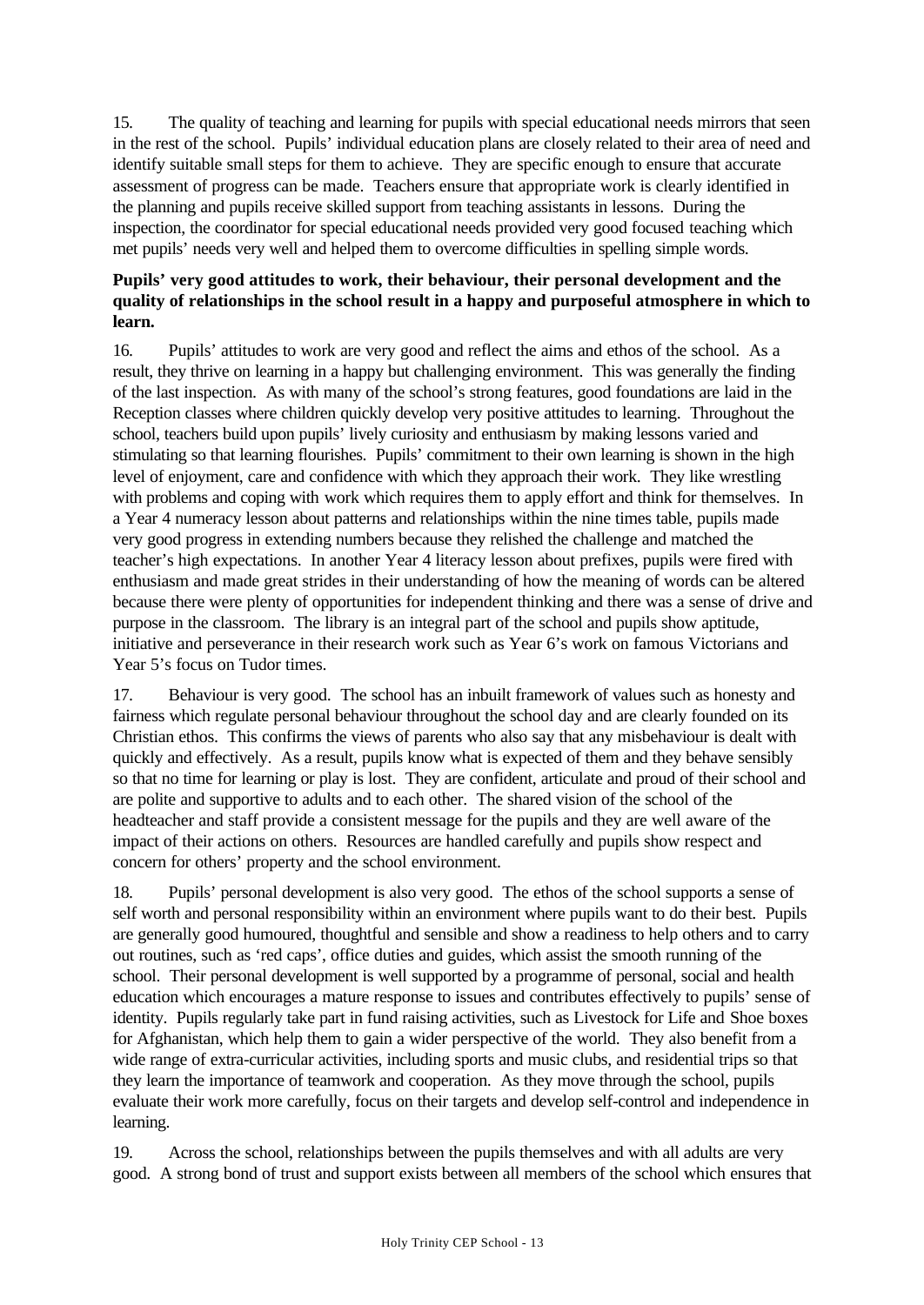15. The quality of teaching and learning for pupils with special educational needs mirrors that seen in the rest of the school. Pupils' individual education plans are closely related to their area of need and identify suitable small steps for them to achieve. They are specific enough to ensure that accurate assessment of progress can be made. Teachers ensure that appropriate work is clearly identified in the planning and pupils receive skilled support from teaching assistants in lessons. During the inspection, the coordinator for special educational needs provided very good focused teaching which met pupils' needs very well and helped them to overcome difficulties in spelling simple words.

## **Pupils' very good attitudes to work, their behaviour, their personal development and the quality of relationships in the school result in a happy and purposeful atmosphere in which to learn.**

16. Pupils' attitudes to work are very good and reflect the aims and ethos of the school. As a result, they thrive on learning in a happy but challenging environment. This was generally the finding of the last inspection. As with many of the school's strong features, good foundations are laid in the Reception classes where children quickly develop very positive attitudes to learning. Throughout the school, teachers build upon pupils' lively curiosity and enthusiasm by making lessons varied and stimulating so that learning flourishes. Pupils' commitment to their own learning is shown in the high level of enjoyment, care and confidence with which they approach their work. They like wrestling with problems and coping with work which requires them to apply effort and think for themselves. In a Year 4 numeracy lesson about patterns and relationships within the nine times table, pupils made very good progress in extending numbers because they relished the challenge and matched the teacher's high expectations. In another Year 4 literacy lesson about prefixes, pupils were fired with enthusiasm and made great strides in their understanding of how the meaning of words can be altered because there were plenty of opportunities for independent thinking and there was a sense of drive and purpose in the classroom. The library is an integral part of the school and pupils show aptitude, initiative and perseverance in their research work such as Year 6's work on famous Victorians and Year 5's focus on Tudor times.

17. Behaviour is very good. The school has an inbuilt framework of values such as honesty and fairness which regulate personal behaviour throughout the school day and are clearly founded on its Christian ethos. This confirms the views of parents who also say that any misbehaviour is dealt with quickly and effectively. As a result, pupils know what is expected of them and they behave sensibly so that no time for learning or play is lost. They are confident, articulate and proud of their school and are polite and supportive to adults and to each other. The shared vision of the school of the headteacher and staff provide a consistent message for the pupils and they are well aware of the impact of their actions on others. Resources are handled carefully and pupils show respect and concern for others' property and the school environment.

18. Pupils' personal development is also very good. The ethos of the school supports a sense of self worth and personal responsibility within an environment where pupils want to do their best. Pupils are generally good humoured, thoughtful and sensible and show a readiness to help others and to carry out routines, such as 'red caps', office duties and guides, which assist the smooth running of the school. Their personal development is well supported by a programme of personal, social and health education which encourages a mature response to issues and contributes effectively to pupils' sense of identity. Pupils regularly take part in fund raising activities, such as Livestock for Life and Shoe boxes for Afghanistan, which help them to gain a wider perspective of the world. They also benefit from a wide range of extra-curricular activities, including sports and music clubs, and residential trips so that they learn the importance of teamwork and cooperation. As they move through the school, pupils evaluate their work more carefully, focus on their targets and develop self-control and independence in learning.

19. Across the school, relationships between the pupils themselves and with all adults are very good. A strong bond of trust and support exists between all members of the school which ensures that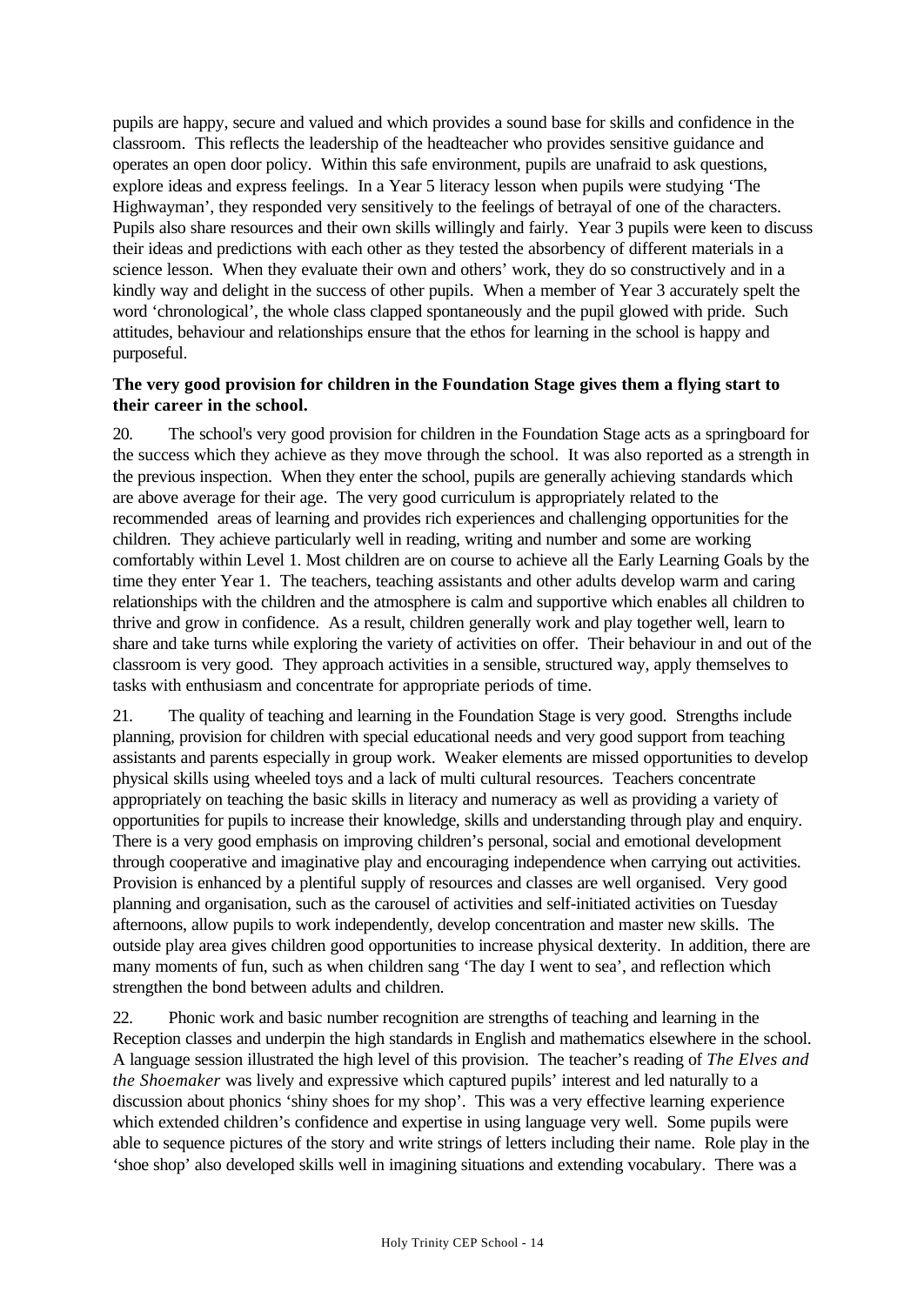pupils are happy, secure and valued and which provides a sound base for skills and confidence in the classroom. This reflects the leadership of the headteacher who provides sensitive guidance and operates an open door policy. Within this safe environment, pupils are unafraid to ask questions, explore ideas and express feelings. In a Year 5 literacy lesson when pupils were studying 'The Highwayman', they responded very sensitively to the feelings of betrayal of one of the characters. Pupils also share resources and their own skills willingly and fairly. Year 3 pupils were keen to discuss their ideas and predictions with each other as they tested the absorbency of different materials in a science lesson. When they evaluate their own and others' work, they do so constructively and in a kindly way and delight in the success of other pupils. When a member of Year 3 accurately spelt the word 'chronological', the whole class clapped spontaneously and the pupil glowed with pride. Such attitudes, behaviour and relationships ensure that the ethos for learning in the school is happy and purposeful.

#### **The very good provision for children in the Foundation Stage gives them a flying start to their career in the school.**

20. The school's very good provision for children in the Foundation Stage acts as a springboard for the success which they achieve as they move through the school. It was also reported as a strength in the previous inspection. When they enter the school, pupils are generally achieving standards which are above average for their age. The very good curriculum is appropriately related to the recommended areas of learning and provides rich experiences and challenging opportunities for the children. They achieve particularly well in reading, writing and number and some are working comfortably within Level 1. Most children are on course to achieve all the Early Learning Goals by the time they enter Year 1. The teachers, teaching assistants and other adults develop warm and caring relationships with the children and the atmosphere is calm and supportive which enables all children to thrive and grow in confidence. As a result, children generally work and play together well, learn to share and take turns while exploring the variety of activities on offer. Their behaviour in and out of the classroom is very good. They approach activities in a sensible, structured way, apply themselves to tasks with enthusiasm and concentrate for appropriate periods of time.

21. The quality of teaching and learning in the Foundation Stage is very good. Strengths include planning, provision for children with special educational needs and very good support from teaching assistants and parents especially in group work. Weaker elements are missed opportunities to develop physical skills using wheeled toys and a lack of multi cultural resources. Teachers concentrate appropriately on teaching the basic skills in literacy and numeracy as well as providing a variety of opportunities for pupils to increase their knowledge, skills and understanding through play and enquiry. There is a very good emphasis on improving children's personal, social and emotional development through cooperative and imaginative play and encouraging independence when carrying out activities. Provision is enhanced by a plentiful supply of resources and classes are well organised. Very good planning and organisation, such as the carousel of activities and self-initiated activities on Tuesday afternoons, allow pupils to work independently, develop concentration and master new skills. The outside play area gives children good opportunities to increase physical dexterity. In addition, there are many moments of fun, such as when children sang 'The day I went to sea', and reflection which strengthen the bond between adults and children.

22. Phonic work and basic number recognition are strengths of teaching and learning in the Reception classes and underpin the high standards in English and mathematics elsewhere in the school. A language session illustrated the high level of this provision. The teacher's reading of *The Elves and the Shoemaker* was lively and expressive which captured pupils' interest and led naturally to a discussion about phonics 'shiny shoes for my shop'. This was a very effective learning experience which extended children's confidence and expertise in using language very well. Some pupils were able to sequence pictures of the story and write strings of letters including their name. Role play in the 'shoe shop' also developed skills well in imagining situations and extending vocabulary. There was a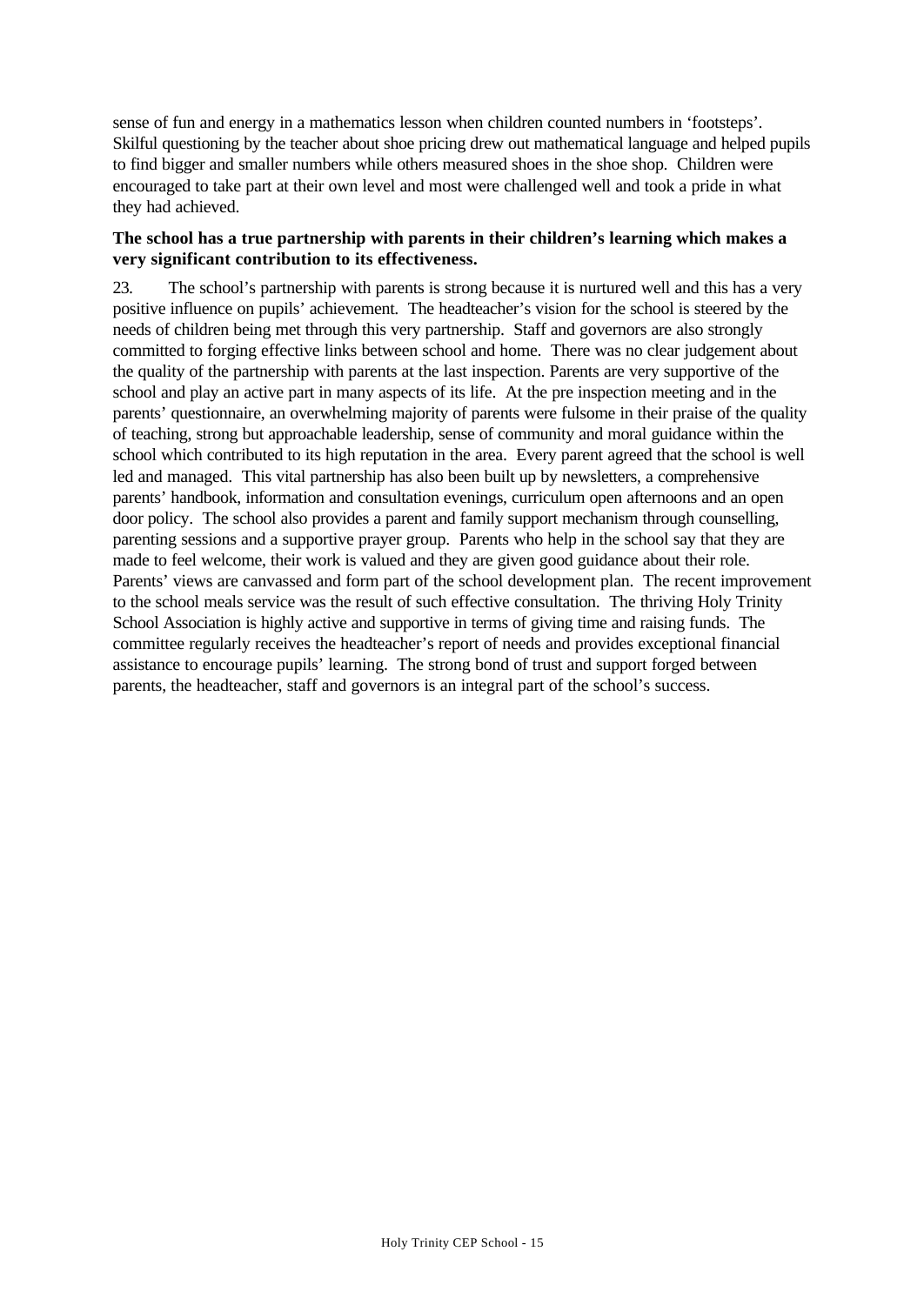sense of fun and energy in a mathematics lesson when children counted numbers in 'footsteps'. Skilful questioning by the teacher about shoe pricing drew out mathematical language and helped pupils to find bigger and smaller numbers while others measured shoes in the shoe shop. Children were encouraged to take part at their own level and most were challenged well and took a pride in what they had achieved.

#### **The school has a true partnership with parents in their children's learning which makes a very significant contribution to its effectiveness.**

23. The school's partnership with parents is strong because it is nurtured well and this has a very positive influence on pupils' achievement. The headteacher's vision for the school is steered by the needs of children being met through this very partnership. Staff and governors are also strongly committed to forging effective links between school and home. There was no clear judgement about the quality of the partnership with parents at the last inspection. Parents are very supportive of the school and play an active part in many aspects of its life. At the pre inspection meeting and in the parents' questionnaire, an overwhelming majority of parents were fulsome in their praise of the quality of teaching, strong but approachable leadership, sense of community and moral guidance within the school which contributed to its high reputation in the area. Every parent agreed that the school is well led and managed. This vital partnership has also been built up by newsletters, a comprehensive parents' handbook, information and consultation evenings, curriculum open afternoons and an open door policy. The school also provides a parent and family support mechanism through counselling, parenting sessions and a supportive prayer group. Parents who help in the school say that they are made to feel welcome, their work is valued and they are given good guidance about their role. Parents' views are canvassed and form part of the school development plan. The recent improvement to the school meals service was the result of such effective consultation. The thriving Holy Trinity School Association is highly active and supportive in terms of giving time and raising funds. The committee regularly receives the headteacher's report of needs and provides exceptional financial assistance to encourage pupils' learning. The strong bond of trust and support forged between parents, the headteacher, staff and governors is an integral part of the school's success.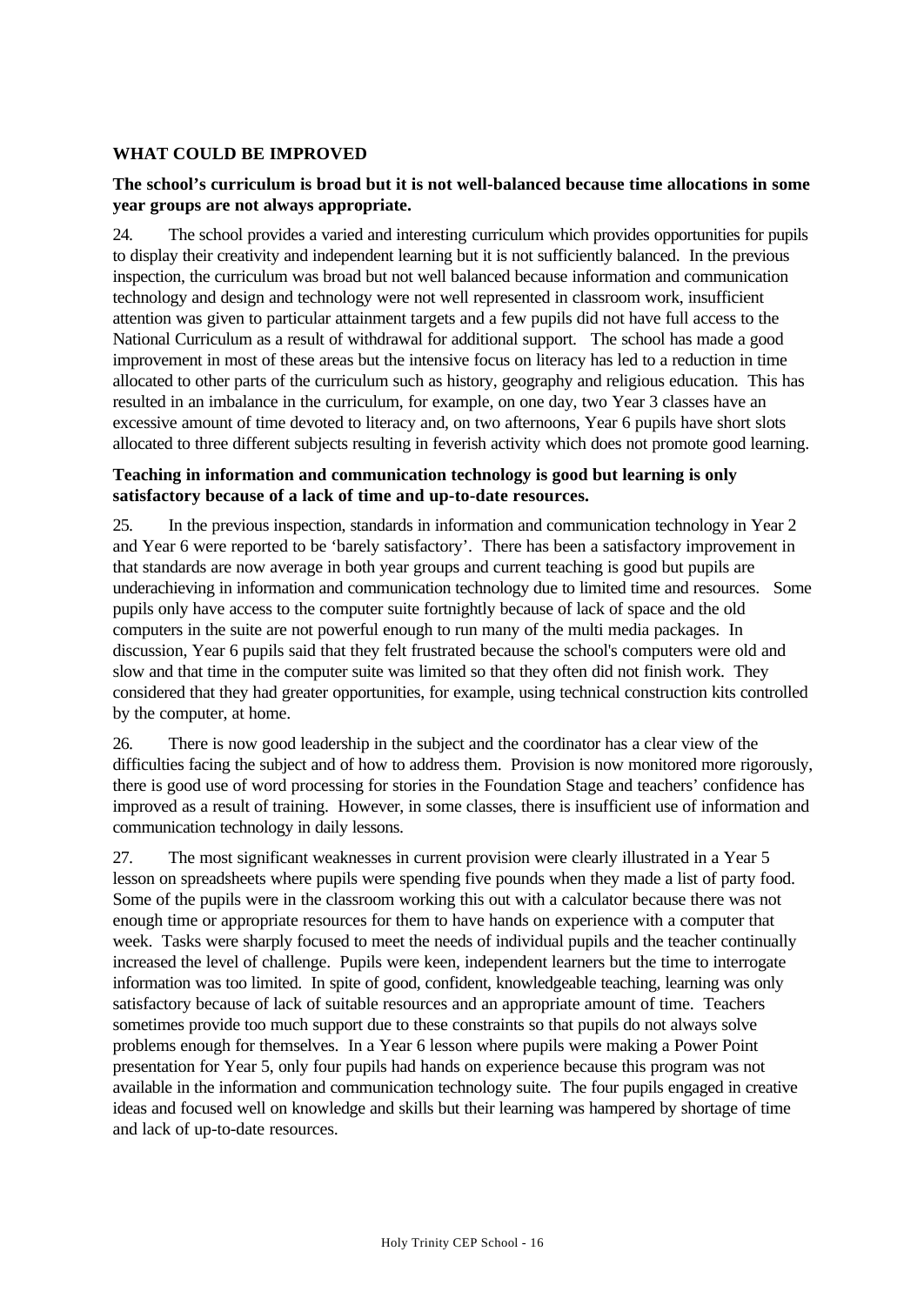## **WHAT COULD BE IMPROVED**

#### **The school's curriculum is broad but it is not well-balanced because time allocations in some year groups are not always appropriate.**

24. The school provides a varied and interesting curriculum which provides opportunities for pupils to display their creativity and independent learning but it is not sufficiently balanced. In the previous inspection, the curriculum was broad but not well balanced because information and communication technology and design and technology were not well represented in classroom work, insufficient attention was given to particular attainment targets and a few pupils did not have full access to the National Curriculum as a result of withdrawal for additional support. The school has made a good improvement in most of these areas but the intensive focus on literacy has led to a reduction in time allocated to other parts of the curriculum such as history, geography and religious education. This has resulted in an imbalance in the curriculum, for example, on one day, two Year 3 classes have an excessive amount of time devoted to literacy and, on two afternoons, Year 6 pupils have short slots allocated to three different subjects resulting in feverish activity which does not promote good learning.

#### **Teaching in information and communication technology is good but learning is only satisfactory because of a lack of time and up-to-date resources.**

25. In the previous inspection, standards in information and communication technology in Year 2 and Year 6 were reported to be 'barely satisfactory'. There has been a satisfactory improvement in that standards are now average in both year groups and current teaching is good but pupils are underachieving in information and communication technology due to limited time and resources. Some pupils only have access to the computer suite fortnightly because of lack of space and the old computers in the suite are not powerful enough to run many of the multi media packages. In discussion, Year 6 pupils said that they felt frustrated because the school's computers were old and slow and that time in the computer suite was limited so that they often did not finish work. They considered that they had greater opportunities, for example, using technical construction kits controlled by the computer, at home.

26. There is now good leadership in the subject and the coordinator has a clear view of the difficulties facing the subject and of how to address them. Provision is now monitored more rigorously, there is good use of word processing for stories in the Foundation Stage and teachers' confidence has improved as a result of training. However, in some classes, there is insufficient use of information and communication technology in daily lessons.

27. The most significant weaknesses in current provision were clearly illustrated in a Year 5 lesson on spreadsheets where pupils were spending five pounds when they made a list of party food. Some of the pupils were in the classroom working this out with a calculator because there was not enough time or appropriate resources for them to have hands on experience with a computer that week. Tasks were sharply focused to meet the needs of individual pupils and the teacher continually increased the level of challenge. Pupils were keen, independent learners but the time to interrogate information was too limited. In spite of good, confident, knowledgeable teaching, learning was only satisfactory because of lack of suitable resources and an appropriate amount of time. Teachers sometimes provide too much support due to these constraints so that pupils do not always solve problems enough for themselves. In a Year 6 lesson where pupils were making a Power Point presentation for Year 5, only four pupils had hands on experience because this program was not available in the information and communication technology suite. The four pupils engaged in creative ideas and focused well on knowledge and skills but their learning was hampered by shortage of time and lack of up-to-date resources.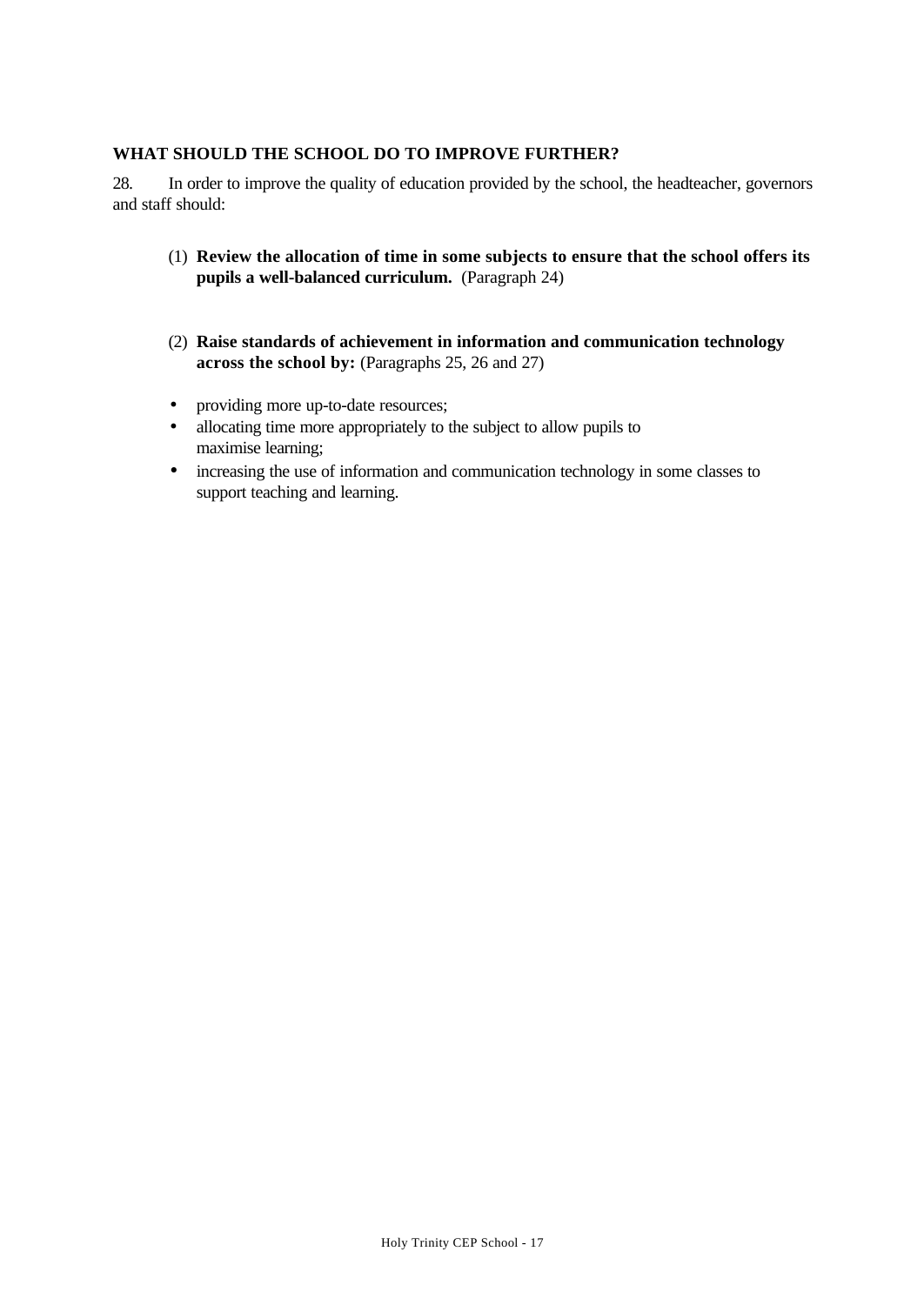#### **WHAT SHOULD THE SCHOOL DO TO IMPROVE FURTHER?**

28. In order to improve the quality of education provided by the school, the headteacher, governors and staff should:

- (1) **Review the allocation of time in some subjects to ensure that the school offers its pupils a well-balanced curriculum.** (Paragraph 24)
- (2) **Raise standards of achievement in information and communication technology across the school by:** (Paragraphs 25, 26 and 27)
- providing more up-to-date resources;
- allocating time more appropriately to the subject to allow pupils to maximise learning;
- increasing the use of information and communication technology in some classes to support teaching and learning.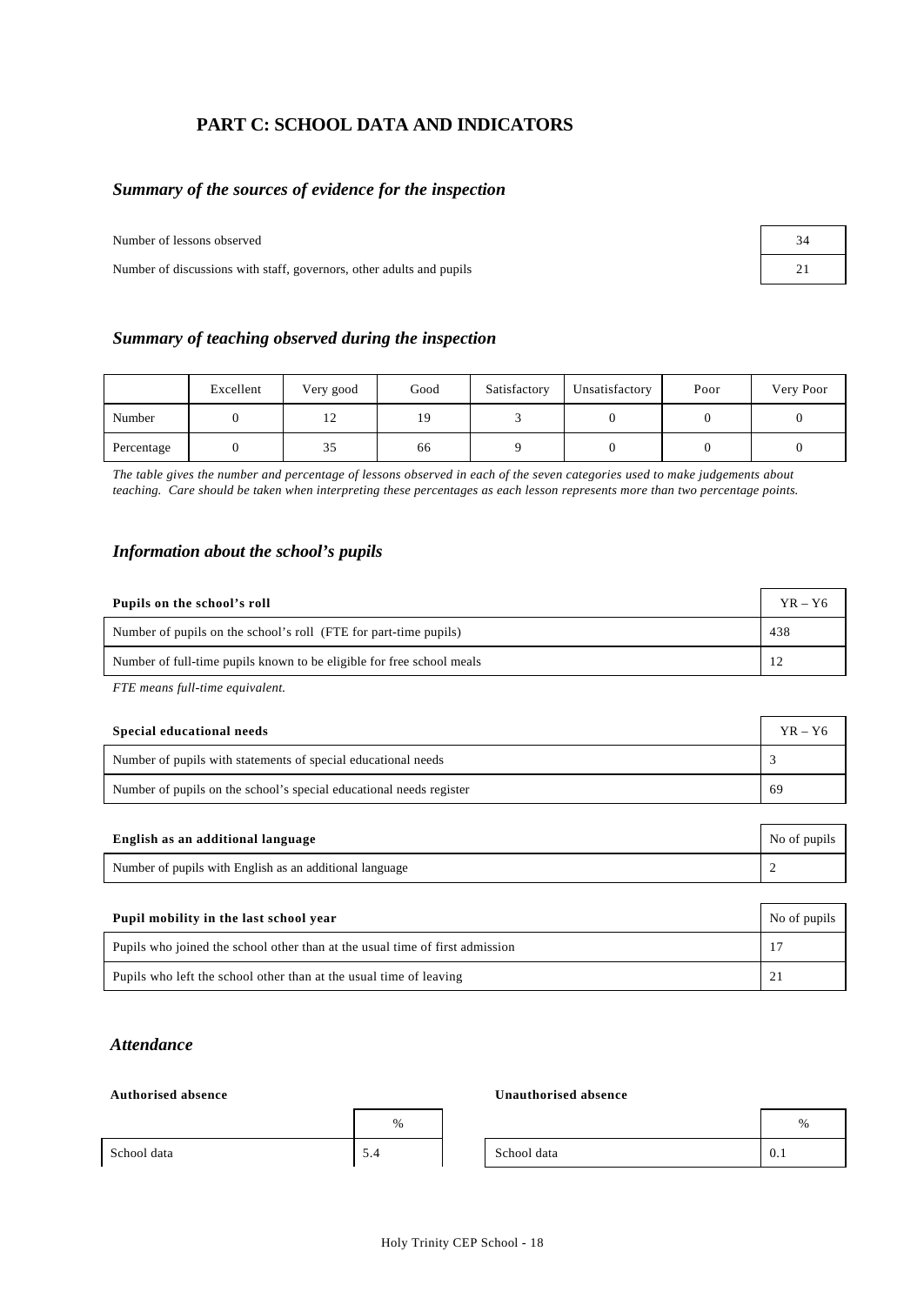## **PART C: SCHOOL DATA AND INDICATORS**

#### *Summary of the sources of evidence for the inspection*

Number of lessons observed 34

Number of discussions with staff, governors, other adults and pupils 21 22

| Summary of teaching observed during the inspection |  |  |
|----------------------------------------------------|--|--|
|                                                    |  |  |

|            | Excellent | Very good | Good | Satisfactory | Unsatisfactory | Poor | Very Poor |
|------------|-----------|-----------|------|--------------|----------------|------|-----------|
| Number     |           | ⊥ ∠       | 19   |              |                |      |           |
| Percentage |           | 35        | 66   |              |                |      |           |

*The table gives the number and percentage of lessons observed in each of the seven categories used to make judgements about teaching. Care should be taken when interpreting these percentages as each lesson represents more than two percentage points.*

#### *Information about the school's pupils*

| Pupils on the school's roll                                           | $YR - Y6$ |
|-----------------------------------------------------------------------|-----------|
| Number of pupils on the school's roll (FTE for part-time pupils)      | 438       |
| Number of full-time pupils known to be eligible for free school meals |           |

*FTE means full-time equivalent.*

| Special educational needs                                           | $YR - Y6$ |
|---------------------------------------------------------------------|-----------|
| Number of pupils with statements of special educational needs       |           |
| Number of pupils on the school's special educational needs register | -69       |

| English as an additional language                       | No of pupils |
|---------------------------------------------------------|--------------|
| Number of pupils with English as an additional language |              |

| Pupil mobility in the last school year                                       | No of pupils |
|------------------------------------------------------------------------------|--------------|
| Pupils who joined the school other than at the usual time of first admission |              |
| Pupils who left the school other than at the usual time of leaving           |              |

#### *Attendance*

#### **Authorised absence Unauthorised absence**

|             | %                                |             | %   |
|-------------|----------------------------------|-------------|-----|
| School data | $\overline{\phantom{0}}$<br>-9.4 | School data | 0.1 |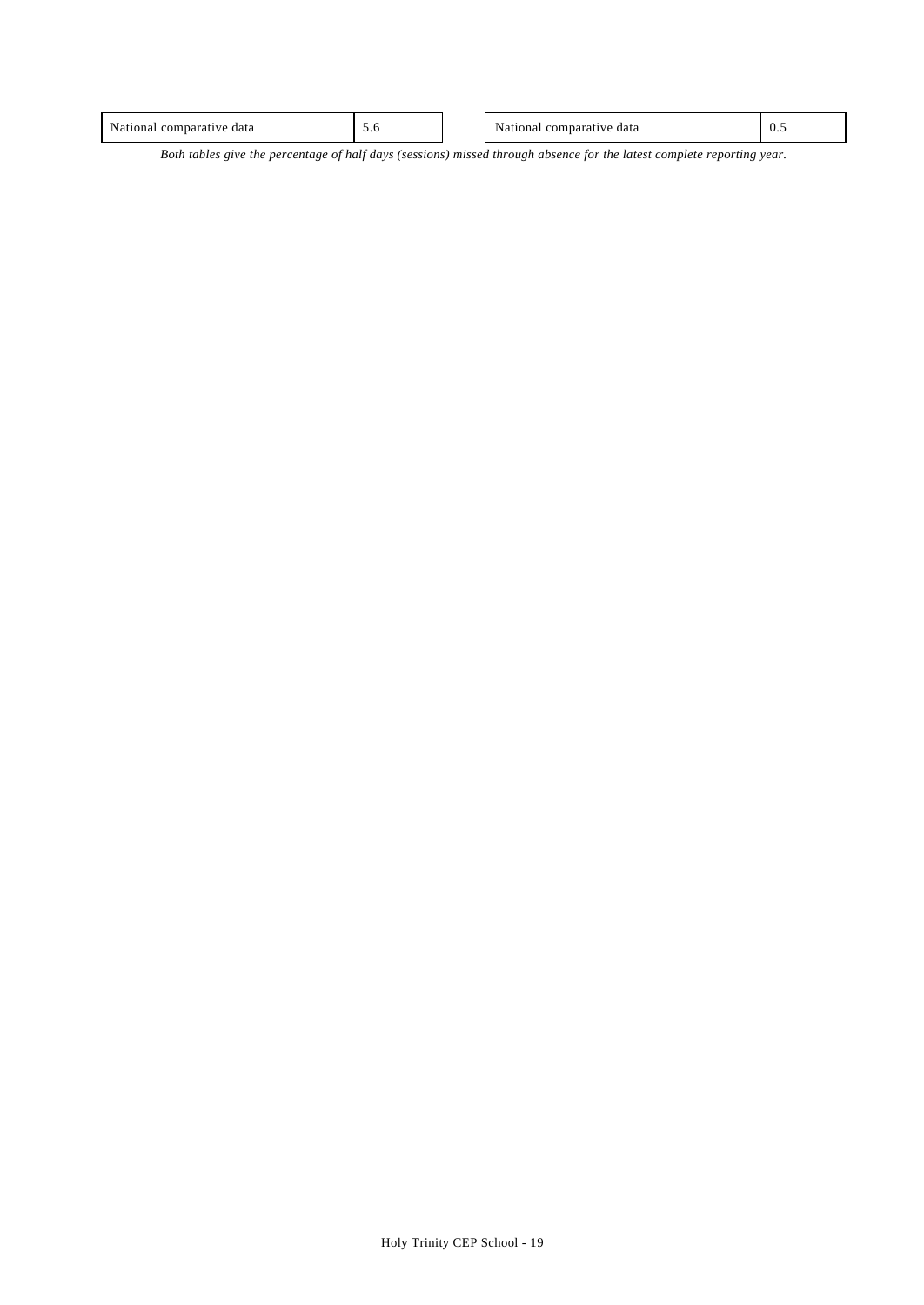| $\mathbf{v}$<br>data<br>nа<br>лы.<br>. | J.V | data<br>.<br>. | $\mathsf{v} \cdot \mathsf{v}$ |
|----------------------------------------|-----|----------------|-------------------------------|
|                                        |     |                |                               |

*Both tables give the percentage of half days (sessions) missed through absence for the latest complete reporting year.*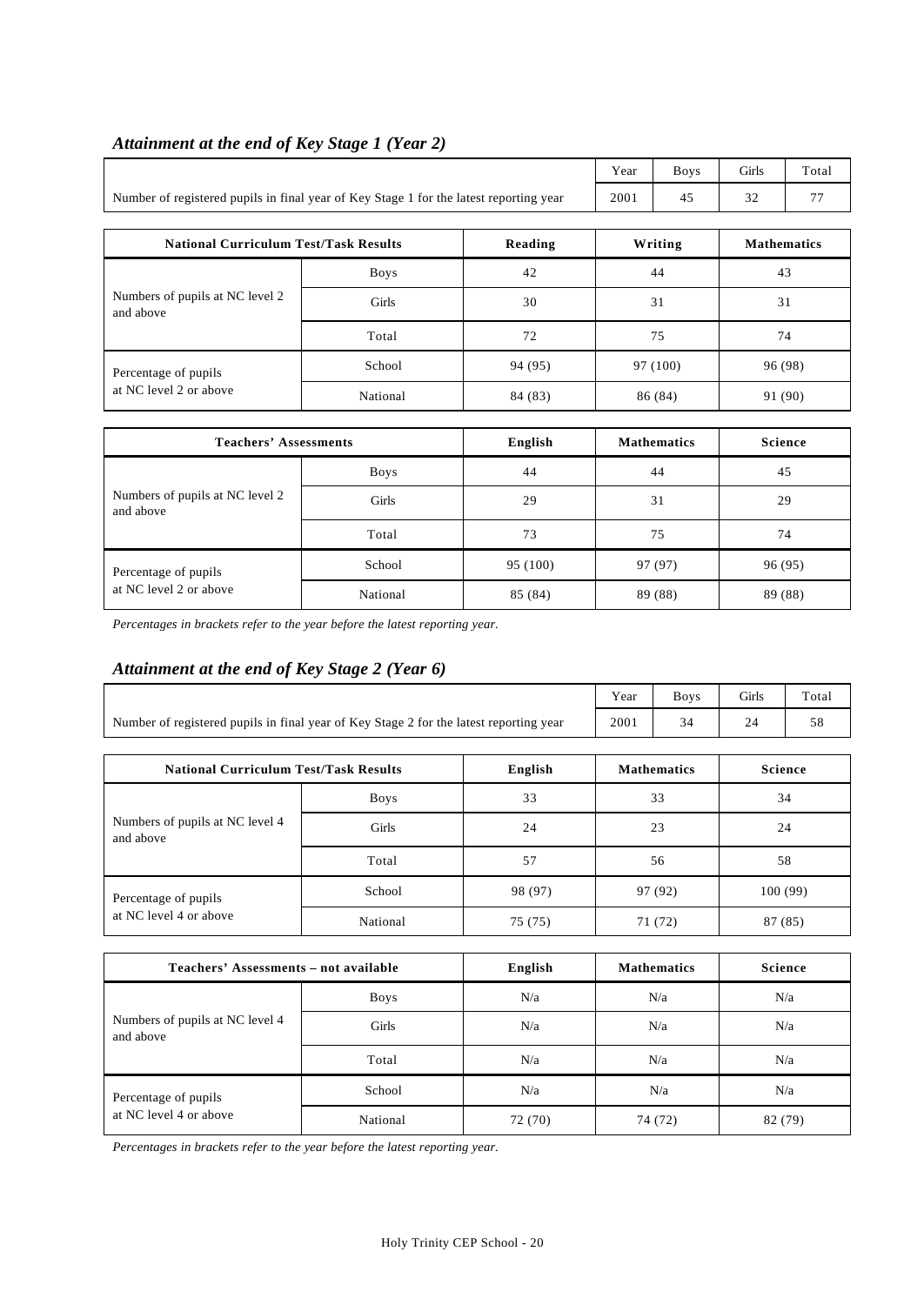|                                                                                        | Year | <b>Boys</b> | <b>Girls</b> | Total |
|----------------------------------------------------------------------------------------|------|-------------|--------------|-------|
| Number of registered pupils in final year of Key Stage 1 for the latest reporting year | 2001 |             | $\sim$       |       |

#### *Attainment at the end of Key Stage 1 (Year 2)*

| <b>National Curriculum Test/Task Results</b> |             | Reading | Writing  | <b>Mathematics</b> |  |
|----------------------------------------------|-------------|---------|----------|--------------------|--|
| Numbers of pupils at NC level 2<br>and above | <b>Boys</b> | 42      | 44       | 43                 |  |
|                                              | Girls       | 30      | 31       | 31                 |  |
|                                              | Total       | 72      | 75       | 74                 |  |
| Percentage of pupils                         | School      | 94 (95) | 97 (100) | 96 (98)            |  |
| at NC level 2 or above                       | National    | 84 (83) | 86 (84)  | 91 (90)            |  |

| <b>Teachers' Assessments</b>                   |             | English  | <b>Mathematics</b> | Science |
|------------------------------------------------|-------------|----------|--------------------|---------|
|                                                | <b>Boys</b> | 44       | 44                 | 45      |
| Numbers of pupils at NC level 2<br>and above   | Girls       | 29       | 31                 | 29      |
|                                                | Total       | 73       | 75                 | 74      |
| Percentage of pupils<br>at NC level 2 or above | School      | 95 (100) | 97 (97)            | 96 (95) |
|                                                | National    | 85 (84)  | 89 (88)            | 89 (88) |

*Percentages in brackets refer to the year before the latest reporting year.*

#### *Attainment at the end of Key Stage 2 (Year 6)*

|                                                                                        |             |         | Year    | <b>Boys</b>        | Girls          | Total          |  |
|----------------------------------------------------------------------------------------|-------------|---------|---------|--------------------|----------------|----------------|--|
| Number of registered pupils in final year of Key Stage 2 for the latest reporting year |             |         | 2001    | 34                 | 24             | 58             |  |
| <b>National Curriculum Test/Task Results</b>                                           |             | English |         | <b>Mathematics</b> | <b>Science</b> |                |  |
|                                                                                        | <b>Boys</b> | 33      | 33      |                    |                | 34             |  |
| Numbers of pupils at NC level 4<br>and above                                           | Girls       | 24      | 23      |                    | 24             |                |  |
|                                                                                        | Total       | 57      | 56      |                    | 58             |                |  |
| Percentage of pupils                                                                   | School      | 98 (97) | 97 (92) |                    | 100(99)        |                |  |
| at NC level 4 or above                                                                 | National    | 75 (75) |         | 71 (72)            | 87 (85)        |                |  |
|                                                                                        |             |         |         |                    |                |                |  |
| Teachers' Assessments - not available                                                  |             | English |         | <b>Mathematics</b> |                | <b>Science</b> |  |
|                                                                                        | <b>Boys</b> | N/a     |         | N/a                |                | N/a            |  |
| Numbers of pupils at NC level 4<br>and above                                           | Girls       | N/a     | N/a     |                    |                | N/a            |  |
|                                                                                        | Total       | N/a     | N/a     |                    |                | N/a            |  |
| Percentage of pupils                                                                   | School      | N/a     | N/a     |                    | N/a            |                |  |
| at NC level 4 or above                                                                 | National    | 72(70)  | 74 (72) |                    |                | 82 (79)        |  |

*Percentages in brackets refer to the year before the latest reporting year.*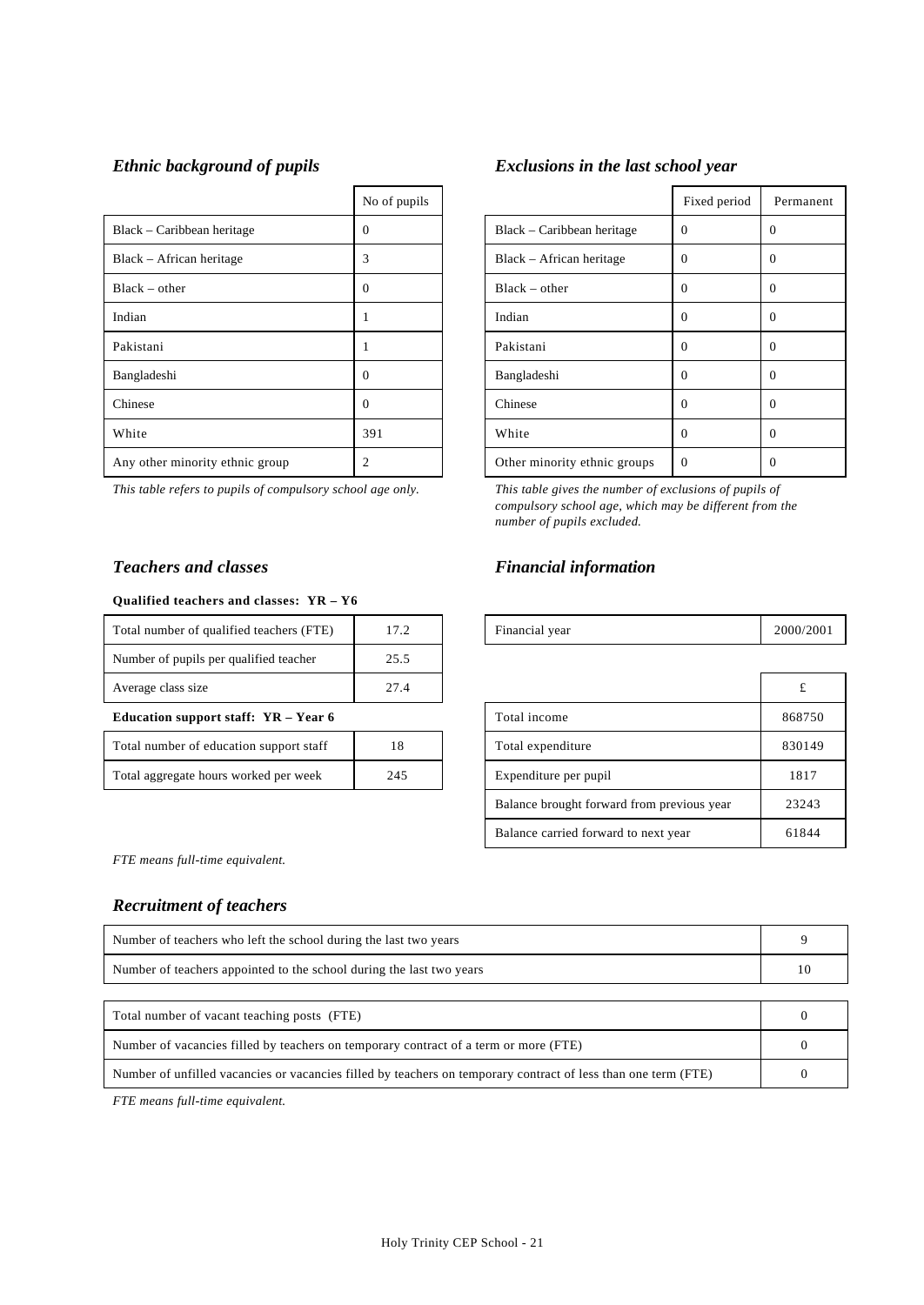|                                 | No of pupils |                              | Fixed period   |                |
|---------------------------------|--------------|------------------------------|----------------|----------------|
| Black – Caribbean heritage      | 0            | Black – Caribbean heritage   | $\Omega$       | $\theta$       |
| Black – African heritage        | 3            | Black – African heritage     | $\Omega$       | $\theta$       |
| $Black - other$                 | $\Omega$     | $Black - other$              | $\Omega$       | $\overline{0}$ |
| Indian                          |              | Indian                       | $\Omega$       | $\overline{0}$ |
| Pakistani                       |              | Pakistani                    | $\Omega$       | $\Omega$       |
| Bangladeshi                     | 0            | Bangladeshi                  | $\Omega$       | $\theta$       |
| Chinese                         | 0            | Chinese                      | $\Omega$       | $\theta$       |
| White                           | 391          | White                        | $\Omega$       | $\theta$       |
| Any other minority ethnic group | າ            | Other minority ethnic groups | $\overline{0}$ | $\overline{0}$ |

*This table refers to pupils of compulsory school age only. This table gives the number of exclusions of pupils of*

#### **Qualified teachers and classes: YR – Y6**

| Total number of qualified teachers (FTE) | 17.2 | Financial year        | 2000/20 |
|------------------------------------------|------|-----------------------|---------|
| Number of pupils per qualified teacher   | 25.5 |                       |         |
| Average class size                       | 27.4 |                       |         |
| Education support staff: $YR - Year 6$   |      | Total income          | 86875   |
| Total number of education support staff  | 18   | Total expenditure     | 83014   |
|                                          |      |                       |         |
| Total aggregate hours worked per week    | 245  | Expenditure per pupil | 1817    |

#### *Ethnic background of pupils Exclusions in the last school year*

| No of pupils |                              | Fixed period | Permanent |
|--------------|------------------------------|--------------|-----------|
| 0            | Black – Caribbean heritage   | $\Omega$     | $\theta$  |
| 3            | Black – African heritage     | $\Omega$     | 0         |
| 0            | $Black - other$              | $\Omega$     | $\Omega$  |
| 1            | Indian                       | $\Omega$     | $\Omega$  |
| 1            | Pakistani                    | $\Omega$     | $\theta$  |
| 0            | Bangladeshi                  | $\Omega$     | $\Omega$  |
| 0            | Chinese                      | $\Omega$     | 0         |
| 391          | White                        | $\Omega$     | $\Omega$  |
| 2            | Other minority ethnic groups | $\Omega$     | $\theta$  |

*compulsory school age, which may be different from the number of pupils excluded.*

#### *Teachers and classes Financial information*

| <br>Total<br>` quar<br>number<br>teachers<br>lified<br>оt<br>. | . .<br>$\cdot$ $\cdot$ | vear<br>mancial | 2000/<br>200 <sub>1</sub> |
|----------------------------------------------------------------|------------------------|-----------------|---------------------------|
|                                                                |                        |                 |                           |

| Average class size                      | 27.4 |  |                                            |        |
|-----------------------------------------|------|--|--------------------------------------------|--------|
| Education support staff: YR - Year 6    |      |  | Total income                               | 868750 |
| Total number of education support staff | 18   |  | Total expenditure                          | 830149 |
| Total aggregate hours worked per week   | 245  |  | Expenditure per pupil                      | 1817   |
|                                         |      |  | Balance brought forward from previous year | 23243  |
|                                         |      |  | Balance carried forward to next year       | 61844  |

*FTE means full-time equivalent.*

## *Recruitment of teachers*

| Number of teachers who left the school during the last two years                                               |  |  |  |
|----------------------------------------------------------------------------------------------------------------|--|--|--|
| Number of teachers appointed to the school during the last two vears                                           |  |  |  |
|                                                                                                                |  |  |  |
| Total number of vacant teaching posts (FTE)                                                                    |  |  |  |
| Number of vacancies filled by teachers on temporary contract of a term or more (FTE)                           |  |  |  |
| Number of unfilled vacancies or vacancies filled by teachers on temporary contract of less than one term (FTE) |  |  |  |

*FTE means full-time equivalent.*